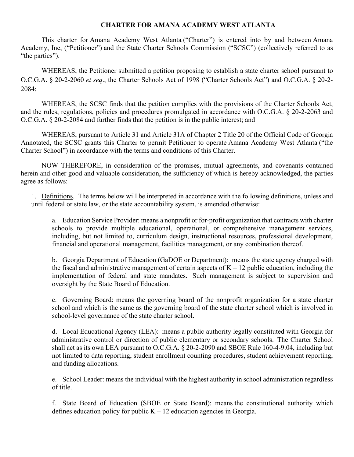## **CHARTER FOR AMANA ACADEMY WEST ATLANTA**

This charter for Amana Academy West Atlanta ("Charter") is entered into by and between Amana Academy, Inc, ("Petitioner") and the State Charter Schools Commission ("SCSC") (collectively referred to as "the parties").

WHEREAS, the Petitioner submitted a petition proposing to establish a state charter school pursuant to O.C.G.A. § 20-2-2060 *et seq*., the Charter Schools Act of 1998 ("Charter Schools Act") and O.C.G.A. § 20-2- 2084;

WHEREAS, the SCSC finds that the petition complies with the provisions of the Charter Schools Act, and the rules, regulations, policies and procedures promulgated in accordance with O.C.G.A. § 20-2-2063 and O.C.G.A. § 20-2-2084 and further finds that the petition is in the public interest; and

WHEREAS, pursuant to Article 31 and Article 31A of Chapter 2 Title 20 of the Official Code of Georgia Annotated, the SCSC grants this Charter to permit Petitioner to operate Amana Academy West Atlanta ("the Charter School") in accordance with the terms and conditions of this Charter.

NOW THEREFORE, in consideration of the promises, mutual agreements, and covenants contained herein and other good and valuable consideration, the sufficiency of which is hereby acknowledged, the parties agree as follows:

1. Definitions. The terms below will be interpreted in accordance with the following definitions, unless and until federal or state law, or the state accountability system, is amended otherwise:

a. Education Service Provider: means a nonprofit or for-profit organization that contracts with charter schools to provide multiple educational, operational, or comprehensive management services, including, but not limited to, curriculum design, instructional resources, professional development, financial and operational management, facilities management, or any combination thereof.

b. Georgia Department of Education (GaDOE or Department): means the state agency charged with the fiscal and administrative management of certain aspects of  $K - 12$  public education, including the implementation of federal and state mandates. Such management is subject to supervision and oversight by the State Board of Education.

c. Governing Board: means the governing board of the nonprofit organization for a state charter school and which is the same as the governing board of the state charter school which is involved in school-level governance of the state charter school.

d. Local Educational Agency (LEA): means a public authority legally constituted with Georgia for administrative control or direction of public elementary or secondary schools. The Charter School shall act as its own LEA pursuant to O.C.G.A. § 20-2-2090 and SBOE Rule 160-4-9.04, including but not limited to data reporting, student enrollment counting procedures, student achievement reporting, and funding allocations.

e. School Leader: means the individual with the highest authority in school administration regardless of title.

f. State Board of Education (SBOE or State Board): means the constitutional authority which defines education policy for public  $K - 12$  education agencies in Georgia.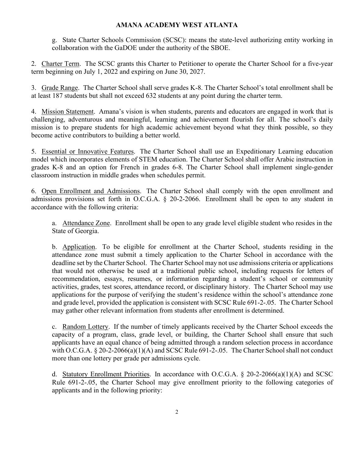g. State Charter Schools Commission (SCSC): means the state-level authorizing entity working in collaboration with the GaDOE under the authority of the SBOE.

2. Charter Term. The SCSC grants this Charter to Petitioner to operate the Charter School for a five-year term beginning on July 1, 2022 and expiring on June 30, 2027.

3. Grade Range. The Charter School shall serve grades K-8. The Charter School's total enrollment shall be at least 187 students but shall not exceed 632 students at any point during the charter term.

4. Mission Statement. Amana's vision is when students, parents and educators are engaged in work that is challenging, adventurous and meaningful, learning and achievement flourish for all. The school's daily mission is to prepare students for high academic achievement beyond what they think possible, so they become active contributors to building a better world.

5. Essential or Innovative Features. The Charter School shall use an Expeditionary Learning education model which incorporates elements of STEM education. The Charter School shall offer Arabic instruction in grades K-8 and an option for French in grades 6-8. The Charter School shall implement single-gender classroom instruction in middle grades when schedules permit.

6. Open Enrollment and Admissions. The Charter School shall comply with the open enrollment and admissions provisions set forth in O.C.G.A. § 20-2-2066. Enrollment shall be open to any student in accordance with the following criteria:

a. Attendance Zone. Enrollment shall be open to any grade level eligible student who resides in the State of Georgia.

b. Application. To be eligible for enrollment at the Charter School, students residing in the attendance zone must submit a timely application to the Charter School in accordance with the deadline set by the Charter School. The Charter School may not use admissions criteria or applications that would not otherwise be used at a traditional public school, including requests for letters of recommendation, essays, resumes, or information regarding a student's school or community activities, grades, test scores, attendance record, or disciplinary history. The Charter School may use applications for the purpose of verifying the student's residence within the school's attendance zone and grade level, provided the application is consistent with SCSC Rule 691-2-.05. The Charter School may gather other relevant information from students after enrollment is determined.

c. Random Lottery. If the number of timely applicants received by the Charter School exceeds the capacity of a program, class, grade level, or building, the Charter School shall ensure that such applicants have an equal chance of being admitted through a random selection process in accordance with O.C.G.A. § 20-2-2066(a)(1)(A) and SCSC Rule 691-2-.05. The Charter School shall not conduct more than one lottery per grade per admissions cycle.

d. Statutory Enrollment Priorities. In accordance with O.C.G.A. § 20-2-2066(a)(1)(A) and SCSC Rule 691-2-.05, the Charter School may give enrollment priority to the following categories of applicants and in the following priority: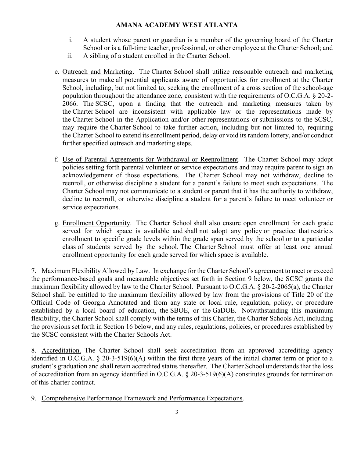- i. A student whose parent or guardian is a member of the governing board of the Charter School or is a full-time teacher, professional, or other employee at the Charter School; and
- ii. A sibling of a student enrolled in the Charter School.
- e. Outreach and Marketing. The Charter School shall utilize reasonable outreach and marketing measures to make all potential applicants aware of opportunities for enrollment at the Charter School, including, but not limited to, seeking the enrollment of a cross section of the school-age population throughout the attendance zone, consistent with the requirements of O.C.G.A. § 20-2- 2066. The SCSC, upon a finding that the outreach and marketing measures taken by the Charter School are inconsistent with applicable law or the representations made by the Charter School in the Application and/or other representations or submissions to the SCSC, may require the Charter School to take further action, including but not limited to, requiring the Charter School to extend its enrollment period, delay or void its random lottery, and/or conduct further specified outreach and marketing steps.
- f. Use of Parental Agreements for Withdrawal or Reenrollment. The Charter School may adopt policies setting forth parental volunteer or service expectations and may require parent to sign an acknowledgement of those expectations. The Charter School may not withdraw, decline to reenroll, or otherwise discipline a student for a parent's failure to meet such expectations. The Charter School may not communicate to a student or parent that it has the authority to withdraw, decline to reenroll, or otherwise discipline a student for a parent's failure to meet volunteer or service expectations.
- g. Enrollment Opportunity. The Charter School shall also ensure open enrollment for each grade served for which space is available and shall not adopt any policy or practice that restricts enrollment to specific grade levels within the grade span served by the school or to a particular class of students served by the school. The Charter School must offer at least one annual enrollment opportunity for each grade served for which space is available.

7. Maximum Flexibility Allowed by Law. In exchange for the Charter School's agreement to meet or exceed the performance-based goals and measurable objectives set forth in Section 9 below, the SCSC grants the maximum flexibility allowed by law to the Charter School. Pursuant to O.C.G.A. § 20-2-2065(a), the Charter School shall be entitled to the maximum flexibility allowed by law from the provisions of Title 20 of the Official Code of Georgia Annotated and from any state or local rule, regulation, policy, or procedure established by a local board of education, the SBOE, or the GaDOE. Notwithstanding this maximum flexibility, the Charter School shall comply with the terms of this Charter, the Charter Schools Act, including the provisions set forth in Section 16 below, and any rules, regulations, policies, or procedures established by the SCSC consistent with the Charter Schools Act.

8. Accreditation. The Charter School shall seek accreditation from an approved accrediting agency identified in O.C.G.A. § 20-3-519(6)(A) within the first three years of the initial charter term or prior to a student's graduation and shall retain accredited status thereafter. The Charter School understands that the loss of accreditation from an agency identified in O.C.G.A. § 20-3-519(6)(A) constitutes grounds for termination of this charter contract.

9. Comprehensive Performance Framework and Performance Expectations.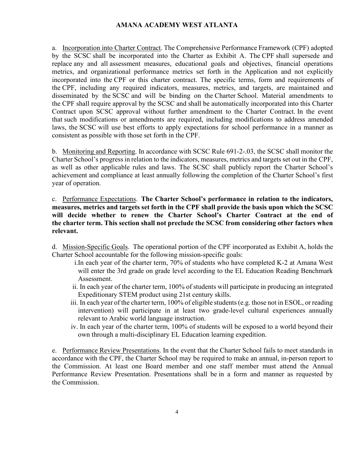a. Incorporation into Charter Contract. The Comprehensive Performance Framework (CPF) adopted by the SCSC shall be incorporated into the Charter as Exhibit A. The CPF shall supersede and replace any and all assessment measures, educational goals and objectives, financial operations metrics, and organizational performance metrics set forth in the Application and not explicitly incorporated into the CPF or this charter contract. The specific terms, form and requirements of the CPF, including any required indicators, measures, metrics, and targets, are maintained and disseminated by the SCSC and will be binding on the Charter School. Material amendments to the CPF shall require approval by the SCSC and shall be automatically incorporated into this Charter Contract upon SCSC approval without further amendment to the Charter Contract. In the event that such modifications or amendments are required, including modifications to address amended laws, the SCSC will use best efforts to apply expectations for school performance in a manner as consistent as possible with those set forth in the CPF.

b. Monitoring and Reporting. In accordance with SCSC Rule 691-2-.03, the SCSC shall monitor the Charter School's progress in relation to the indicators, measures, metrics and targets set out in the CPF, as well as other applicable rules and laws. The SCSC shall publicly report the Charter School's achievement and compliance at least annually following the completion of the Charter School's first year of operation.

c. Performance Expectations. **The Charter School's performance in relation to the indicators, measures, metrics and targets set forth in the CPF shall provide the basis upon which the SCSC will decide whether to renew the Charter School's Charter Contract at the end of the charter term. This section shall not preclude the SCSC from considering other factors when relevant.**

d. Mission-Specific Goals. The operational portion of the CPF incorporated as Exhibit A, holds the Charter School accountable for the following mission-specific goals:

- i.In each year of the charter term, 70% of students who have completed K-2 at Amana West will enter the 3rd grade on grade level according to the EL Education Reading Benchmark Assessment.
- ii. In each year of the charter term, 100% of students will participate in producing an integrated Expeditionary STEM product using 21st century skills.
- iii. In each year of the charter term,  $100\%$  of eligible students (e.g. those not in ESOL, or reading intervention) will participate in at least two grade-level cultural experiences annually relevant to Arabic world language instruction.
- iv. In each year of the charter term, 100% of students will be exposed to a world beyond their own through a multi-disciplinary EL Education learning expedition.

e. Performance Review Presentations. In the event that the Charter School fails to meet standards in accordance with the CPF, the Charter School may be required to make an annual, in-person report to the Commission. At least one Board member and one staff member must attend the Annual Performance Review Presentation. Presentations shall be in a form and manner as requested by the Commission.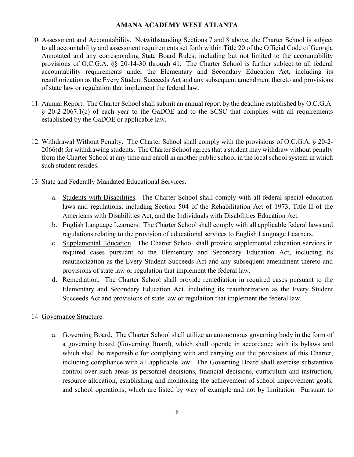- 10. Assessment and Accountability. Notwithstanding Sections 7 and 8 above, the Charter School is subject to all accountability and assessment requirements set forth within Title 20 of the Official Code of Georgia Annotated and any corresponding State Board Rules, including but not limited to the accountability provisions of O.C.G.A. §§ 20-14-30 through 41. The Charter School is further subject to all federal accountability requirements under the Elementary and Secondary Education Act, including its reauthorization as the Every Student Succeeds Act and any subsequent amendment thereto and provisions of state law or regulation that implement the federal law.
- 11. Annual Report. The Charter School shall submit an annual report by the deadline established by O.C.G.A. § 20-2-2067.1(c) of each year to the GaDOE and to the SCSC that complies with all requirements established by the GaDOE or applicable law.
- 12. Withdrawal Without Penalty. The Charter School shall comply with the provisions of O.C.G.A. § 20-2- 2066(d) for withdrawing students. The Charter School agrees that a student may withdraw without penalty from the Charter School at any time and enroll in another public school in the local school system in which such student resides.
- 13. State and Federally Mandated Educational Services.
	- a. Students with Disabilities. The Charter School shall comply with all federal special education laws and regulations, including Section 504 of the Rehabilitation Act of 1973, Title II of the Americans with Disabilities Act, and the Individuals with Disabilities Education Act.
	- b. English Language Learners. The Charter School shall comply with all applicable federal laws and regulations relating to the provision of educational services to English Language Learners.
	- c. Supplemental Education. The Charter School shall provide supplemental education services in required cases pursuant to the Elementary and Secondary Education Act, including its reauthorization as the Every Student Succeeds Act and any subsequent amendment thereto and provisions of state law or regulation that implement the federal law.
	- d. Remediation. The Charter School shall provide remediation in required cases pursuant to the Elementary and Secondary Education Act, including its reauthorization as the Every Student Succeeds Act and provisions of state law or regulation that implement the federal law.

## 14. Governance Structure.

a. Governing Board. The Charter School shall utilize an autonomous governing body in the form of a governing board (Governing Board), which shall operate in accordance with its bylaws and which shall be responsible for complying with and carrying out the provisions of this Charter, including compliance with all applicable law. The Governing Board shall exercise substantive control over such areas as personnel decisions, financial decisions, curriculum and instruction, resource allocation, establishing and monitoring the achievement of school improvement goals, and school operations, which are listed by way of example and not by limitation. Pursuant to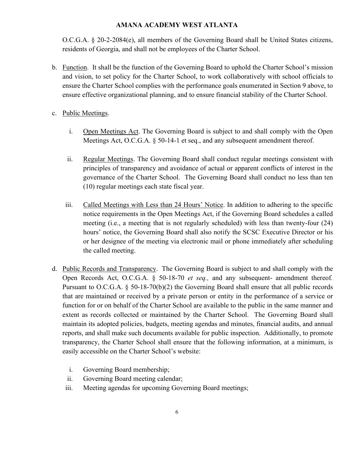O.C.G.A. § 20-2-2084(e), all members of the Governing Board shall be United States citizens, residents of Georgia, and shall not be employees of the Charter School.

- b. Function. It shall be the function of the Governing Board to uphold the Charter School's mission and vision, to set policy for the Charter School, to work collaboratively with school officials to ensure the Charter School complies with the performance goals enumerated in Section 9 above, to ensure effective organizational planning, and to ensure financial stability of the Charter School.
- c. Public Meetings.
	- i. Open Meetings Act. The Governing Board is subject to and shall comply with the Open Meetings Act, O.C.G.A. § 50-14-1 et seq., and any subsequent amendment thereof.
	- ii. Regular Meetings. The Governing Board shall conduct regular meetings consistent with principles of transparency and avoidance of actual or apparent conflicts of interest in the governance of the Charter School. The Governing Board shall conduct no less than ten (10) regular meetings each state fiscal year.
	- iii. Called Meetings with Less than 24 Hours' Notice. In addition to adhering to the specific notice requirements in the Open Meetings Act, if the Governing Board schedules a called meeting (i.e., a meeting that is not regularly scheduled) with less than twenty-four (24) hours' notice, the Governing Board shall also notify the SCSC Executive Director or his or her designee of the meeting via electronic mail or phone immediately after scheduling the called meeting.
- d. Public Records and Transparency. The Governing Board is subject to and shall comply with the Open Records Act, O.C.G.A. § 50-18-70 *et seq.,* and any subsequent- amendment thereof*.* Pursuant to O.C.G.A. § 50-18-70(b)(2) the Governing Board shall ensure that all public records that are maintained or received by a private person or entity in the performance of a service or function for or on behalf of the Charter School are available to the public in the same manner and extent as records collected or maintained by the Charter School. The Governing Board shall maintain its adopted policies, budgets, meeting agendas and minutes, financial audits, and annual reports, and shall make such documents available for public inspection. Additionally, to promote transparency, the Charter School shall ensure that the following information, at a minimum, is easily accessible on the Charter School's website:
	- i. Governing Board membership;
	- ii. Governing Board meeting calendar;
	- iii. Meeting agendas for upcoming Governing Board meetings;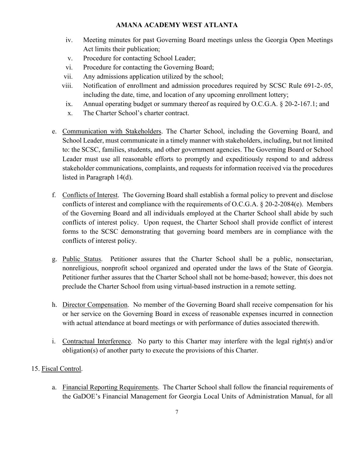- iv. Meeting minutes for past Governing Board meetings unless the Georgia Open Meetings Act limits their publication;
- v. Procedure for contacting School Leader;
- vi. Procedure for contacting the Governing Board;
- vii. Any admissions application utilized by the school;
- viii. Notification of enrollment and admission procedures required by SCSC Rule 691-2-.05, including the date, time, and location of any upcoming enrollment lottery;
- ix. Annual operating budget or summary thereof as required by O.C.G.A. § 20-2-167.1; and
- x. The Charter School's charter contract.
- e. Communication with Stakeholders. The Charter School, including the Governing Board, and School Leader, must communicate in a timely manner with stakeholders, including, but not limited to: the SCSC, families, students, and other government agencies. The Governing Board or School Leader must use all reasonable efforts to promptly and expeditiously respond to and address stakeholder communications, complaints, and requests for information received via the procedures listed in Paragraph 14(d).
- f. Conflicts of Interest. The Governing Board shall establish a formal policy to prevent and disclose conflicts of interest and compliance with the requirements of O.C.G.A. § 20-2-2084(e). Members of the Governing Board and all individuals employed at the Charter School shall abide by such conflicts of interest policy. Upon request, the Charter School shall provide conflict of interest forms to the SCSC demonstrating that governing board members are in compliance with the conflicts of interest policy.
- g. Public Status. Petitioner assures that the Charter School shall be a public, nonsectarian, nonreligious, nonprofit school organized and operated under the laws of the State of Georgia. Petitioner further assures that the Charter School shall not be home-based; however, this does not preclude the Charter School from using virtual-based instruction in a remote setting.
- h. Director Compensation. No member of the Governing Board shall receive compensation for his or her service on the Governing Board in excess of reasonable expenses incurred in connection with actual attendance at board meetings or with performance of duties associated therewith.
- i. Contractual Interference. No party to this Charter may interfere with the legal right(s) and/or obligation(s) of another party to execute the provisions of this Charter.

## 15. Fiscal Control.

a. Financial Reporting Requirements. The Charter School shall follow the financial requirements of the GaDOE's Financial Management for Georgia Local Units of Administration Manual, for all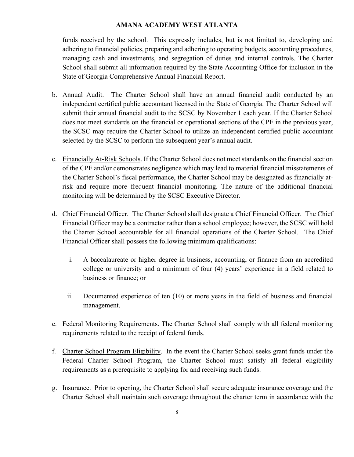funds received by the school. This expressly includes, but is not limited to, developing and adhering to financial policies, preparing and adhering to operating budgets, accounting procedures, managing cash and investments, and segregation of duties and internal controls. The Charter School shall submit all information required by the State Accounting Office for inclusion in the State of Georgia Comprehensive Annual Financial Report.

- b. Annual Audit. The Charter School shall have an annual financial audit conducted by an independent certified public accountant licensed in the State of Georgia. The Charter School will submit their annual financial audit to the SCSC by November 1 each year. If the Charter School does not meet standards on the financial or operational sections of the CPF in the previous year, the SCSC may require the Charter School to utilize an independent certified public accountant selected by the SCSC to perform the subsequent year's annual audit.
- c. Financially At-Risk Schools. If the Charter School does not meet standards on the financial section of the CPF and/or demonstrates negligence which may lead to material financial misstatements of the Charter School's fiscal performance, the Charter School may be designated as financially atrisk and require more frequent financial monitoring. The nature of the additional financial monitoring will be determined by the SCSC Executive Director.
- d. Chief Financial Officer. The Charter School shall designate a Chief Financial Officer. The Chief Financial Officer may be a contractor rather than a school employee; however, the SCSC will hold the Charter School accountable for all financial operations of the Charter School. The Chief Financial Officer shall possess the following minimum qualifications:
	- i. A baccalaureate or higher degree in business, accounting, or finance from an accredited college or university and a minimum of four (4) years' experience in a field related to business or finance; or
	- ii. Documented experience of ten (10) or more years in the field of business and financial management.
- e. Federal Monitoring Requirements. The Charter School shall comply with all federal monitoring requirements related to the receipt of federal funds.
- f. Charter School Program Eligibility. In the event the Charter School seeks grant funds under the Federal Charter School Program, the Charter School must satisfy all federal eligibility requirements as a prerequisite to applying for and receiving such funds.
- g. Insurance. Prior to opening, the Charter School shall secure adequate insurance coverage and the Charter School shall maintain such coverage throughout the charter term in accordance with the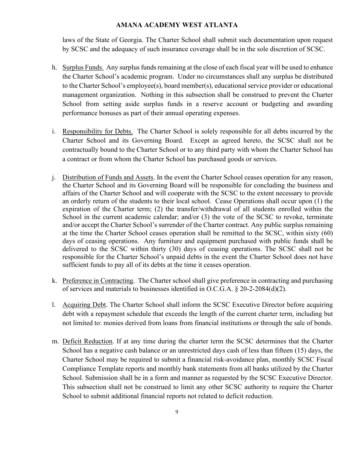laws of the State of Georgia. The Charter School shall submit such documentation upon request by SCSC and the adequacy of such insurance coverage shall be in the sole discretion of SCSC.

- h. Surplus Funds. Any surplus funds remaining at the close of each fiscal year will be used to enhance the Charter School's academic program. Under no circumstances shall any surplus be distributed to the Charter School's employee(s), board member(s), educational service provider or educational management organization. Nothing in this subsection shall be construed to prevent the Charter School from setting aside surplus funds in a reserve account or budgeting and awarding performance bonuses as part of their annual operating expenses.
- i. Responsibility for Debts. The Charter School is solely responsible for all debts incurred by the Charter School and its Governing Board. Except as agreed hereto, the SCSC shall not be contractually bound to the Charter School or to any third party with whom the Charter School has a contract or from whom the Charter School has purchased goods or services.
- j. Distribution of Funds and Assets. In the event the Charter School ceases operation for any reason, the Charter School and its Governing Board will be responsible for concluding the business and affairs of the Charter School and will cooperate with the SCSC to the extent necessary to provide an orderly return of the students to their local school. Cease Operations shall occur upon (1) the expiration of the Charter term; (2) the transfer/withdrawal of all students enrolled within the School in the current academic calendar; and/or (3) the vote of the SCSC to revoke, terminate and/or accept the Charter School's surrender of the Charter contract. Any public surplus remaining at the time the Charter School ceases operation shall be remitted to the SCSC, within sixty (60) days of ceasing operations. Any furniture and equipment purchased with public funds shall be delivered to the SCSC within thirty (30) days of ceasing operations. The SCSC shall not be responsible for the Charter School's unpaid debts in the event the Charter School does not have sufficient funds to pay all of its debts at the time it ceases operation.
- k. Preference in Contracting. The Charter school shall give preference in contracting and purchasing of services and materials to businesses identified in O.C.G.A. § 20-2-2084(d)(2).
- l. Acquiring Debt. The Charter School shall inform the SCSC Executive Director before acquiring debt with a repayment schedule that exceeds the length of the current charter term, including but not limited to: monies derived from loans from financial institutions or through the sale of bonds.
- m. Deficit Reduction. If at any time during the charter term the SCSC determines that the Charter School has a negative cash balance or an unrestricted days cash of less than fifteen (15) days, the Charter School may be required to submit a financial risk-avoidance plan, monthly SCSC Fiscal Compliance Template reports and monthly bank statements from all banks utilized by the Charter School. Submission shall be in a form and manner as requested by the SCSC Executive Director. This subsection shall not be construed to limit any other SCSC authority to require the Charter School to submit additional financial reports not related to deficit reduction.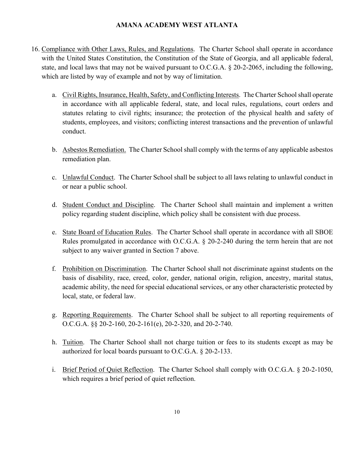- 16. Compliance with Other Laws, Rules, and Regulations. The Charter School shall operate in accordance with the United States Constitution, the Constitution of the State of Georgia, and all applicable federal, state, and local laws that may not be waived pursuant to O.C.G.A. § 20-2-2065, including the following, which are listed by way of example and not by way of limitation.
	- a. Civil Rights, Insurance, Health, Safety, and Conflicting Interests. The Charter School shall operate in accordance with all applicable federal, state, and local rules, regulations, court orders and statutes relating to civil rights; insurance; the protection of the physical health and safety of students, employees, and visitors; conflicting interest transactions and the prevention of unlawful conduct.
	- b. Asbestos Remediation. The Charter School shall comply with the terms of any applicable asbestos remediation plan.
	- c. Unlawful Conduct. The Charter School shall be subject to all laws relating to unlawful conduct in or near a public school.
	- d. Student Conduct and Discipline. The Charter School shall maintain and implement a written policy regarding student discipline, which policy shall be consistent with due process.
	- e. State Board of Education Rules. The Charter School shall operate in accordance with all SBOE Rules promulgated in accordance with O.C.G.A. § 20-2-240 during the term herein that are not subject to any waiver granted in Section 7 above.
	- f. Prohibition on Discrimination. The Charter School shall not discriminate against students on the basis of disability, race, creed, color, gender, national origin, religion, ancestry, marital status, academic ability, the need for special educational services, or any other characteristic protected by local, state, or federal law.
	- g. Reporting Requirements. The Charter School shall be subject to all reporting requirements of O.C.G.A. §§ 20-2-160, 20-2-161(e), 20-2-320, and 20-2-740.
	- h. Tuition. The Charter School shall not charge tuition or fees to its students except as may be authorized for local boards pursuant to O.C.G.A. § 20-2-133.
	- i. Brief Period of Quiet Reflection. The Charter School shall comply with O.C.G.A. § 20-2-1050, which requires a brief period of quiet reflection.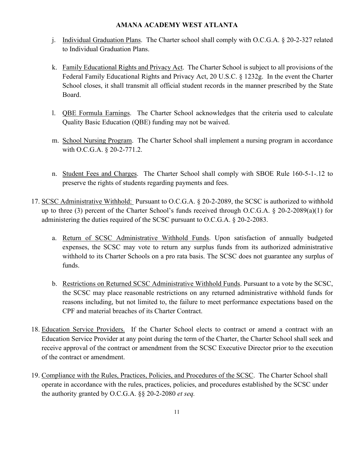- j. Individual Graduation Plans. The Charter school shall comply with O.C.G.A. § 20-2-327 related to Individual Graduation Plans.
- k. Family Educational Rights and Privacy Act. The Charter School is subject to all provisions of the Federal Family Educational Rights and Privacy Act, 20 U.S.C. § 1232g. In the event the Charter School closes, it shall transmit all official student records in the manner prescribed by the State Board.
- l. QBE Formula Earnings. The Charter School acknowledges that the criteria used to calculate Quality Basic Education (QBE) funding may not be waived.
- m. School Nursing Program. The Charter School shall implement a nursing program in accordance with O.C.G.A. § 20-2-771.2.
- n. Student Fees and Charges. The Charter School shall comply with SBOE Rule 160-5-1-.12 to preserve the rights of students regarding payments and fees.
- 17. SCSC Administrative Withhold: Pursuant to O.C.G.A. § 20-2-2089, the SCSC is authorized to withhold up to three (3) percent of the Charter School's funds received through O.C.G.A. § 20-2-2089(a)(1) for administering the duties required of the SCSC pursuant to O.C.G.A. § 20-2-2083.
	- a. Return of SCSC Administrative Withhold Funds. Upon satisfaction of annually budgeted expenses, the SCSC may vote to return any surplus funds from its authorized administrative withhold to its Charter Schools on a pro rata basis. The SCSC does not guarantee any surplus of funds.
	- b. Restrictions on Returned SCSC Administrative Withhold Funds. Pursuant to a vote by the SCSC, the SCSC may place reasonable restrictions on any returned administrative withhold funds for reasons including, but not limited to, the failure to meet performance expectations based on the CPF and material breaches of its Charter Contract.
- 18. Education Service Providers. If the Charter School elects to contract or amend a contract with an Education Service Provider at any point during the term of the Charter, the Charter School shall seek and receive approval of the contract or amendment from the SCSC Executive Director prior to the execution of the contract or amendment.
- 19. Compliance with the Rules, Practices, Policies, and Procedures of the SCSC. The Charter School shall operate in accordance with the rules, practices, policies, and procedures established by the SCSC under the authority granted by O.C.G.A. §§ 20-2-2080 *et seq.*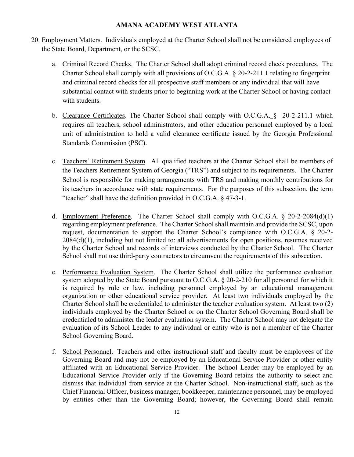- 20. Employment Matters. Individuals employed at the Charter School shall not be considered employees of the State Board, Department, or the SCSC.
	- a. Criminal Record Checks. The Charter School shall adopt criminal record check procedures. The Charter School shall comply with all provisions of O.C.G.A. § 20-2-211.1 relating to fingerprint and criminal record checks for all prospective staff members or any individual that will have substantial contact with students prior to beginning work at the Charter School or having contact with students.
	- b. Clearance Certificates. The Charter School shall comply with O.C.G.A. § 20-2-211.1 which requires all teachers, school administrators, and other education personnel employed by a local unit of administration to hold a valid clearance certificate issued by the Georgia Professional Standards Commission (PSC).
	- c. Teachers' Retirement System. All qualified teachers at the Charter School shall be members of the Teachers Retirement System of Georgia ("TRS") and subject to its requirements. The Charter School is responsible for making arrangements with TRS and making monthly contributions for its teachers in accordance with state requirements. For the purposes of this subsection, the term "teacher" shall have the definition provided in O.C.G.A. § 47-3-1.
	- d. Employment Preference. The Charter School shall comply with O.C.G.A. § 20-2-2084(d)(1) regarding employment preference. The Charter School shall maintain and provide the SCSC, upon request, documentation to support the Charter School's compliance with O.C.G.A. § 20-2- 2084(d)(1), including but not limited to: all advertisements for open positions, resumes received by the Charter School and records of interviews conducted by the Charter School. The Charter School shall not use third-party contractors to circumvent the requirements of this subsection.
	- e. Performance Evaluation System. The Charter School shall utilize the performance evaluation system adopted by the State Board pursuant to O.C.G.A. § 20-2-210 for all personnel for which it is required by rule or law, including personnel employed by an educational management organization or other educational service provider. At least two individuals employed by the Charter School shall be credentialed to administer the teacher evaluation system. At least two (2) individuals employed by the Charter School or on the Charter School Governing Board shall be credentialed to administer the leader evaluation system. The Charter School may not delegate the evaluation of its School Leader to any individual or entity who is not a member of the Charter School Governing Board.
	- f. School Personnel. Teachers and other instructional staff and faculty must be employees of the Governing Board and may not be employed by an Educational Service Provider or other entity affiliated with an Educational Service Provider. The School Leader may be employed by an Educational Service Provider only if the Governing Board retains the authority to select and dismiss that individual from service at the Charter School. Non-instructional staff, such as the Chief Financial Officer, business manager, bookkeeper, maintenance personnel, may be employed by entities other than the Governing Board; however, the Governing Board shall remain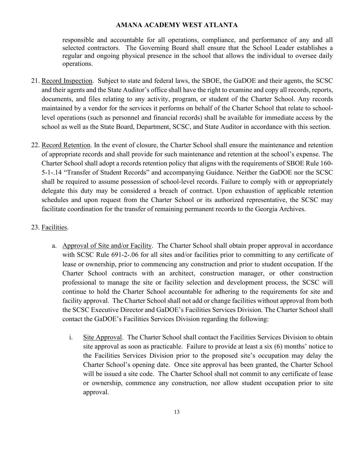responsible and accountable for all operations, compliance, and performance of any and all selected contractors. The Governing Board shall ensure that the School Leader establishes a regular and ongoing physical presence in the school that allows the individual to oversee daily operations.

- 21. Record Inspection. Subject to state and federal laws, the SBOE, the GaDOE and their agents, the SCSC and their agents and the State Auditor's office shall have the right to examine and copy all records, reports, documents, and files relating to any activity, program, or student of the Charter School. Any records maintained by a vendor for the services it performs on behalf of the Charter School that relate to schoollevel operations (such as personnel and financial records) shall be available for immediate access by the school as well as the State Board, Department, SCSC, and State Auditor in accordance with this section.
- 22. Record Retention. In the event of closure, the Charter School shall ensure the maintenance and retention of appropriate records and shall provide for such maintenance and retention at the school's expense. The Charter School shall adopt a records retention policy that aligns with the requirements of SBOE Rule 160- 5-1-.14 "Transfer of Student Records" and accompanying Guidance. Neither the GaDOE nor the SCSC shall be required to assume possession of school-level records. Failure to comply with or appropriately delegate this duty may be considered a breach of contract. Upon exhaustion of applicable retention schedules and upon request from the Charter School or its authorized representative, the SCSC may facilitate coordination for the transfer of remaining permanent records to the Georgia Archives.

## 23. Facilities.

- a. Approval of Site and/or Facility. The Charter School shall obtain proper approval in accordance with SCSC Rule 691-2-.06 for all sites and/or facilities prior to committing to any certificate of lease or ownership, prior to commencing any construction and prior to student occupation. If the Charter School contracts with an architect, construction manager, or other construction professional to manage the site or facility selection and development process, the SCSC will continue to hold the Charter School accountable for adhering to the requirements for site and facility approval. The Charter School shall not add or change facilities without approval from both the SCSC Executive Director and GaDOE's Facilities Services Division. The Charter School shall contact the GaDOE's Facilities Services Division regarding the following:
	- i. Site Approval. The Charter School shall contact the Facilities Services Division to obtain site approval as soon as practicable. Failure to provide at least a six (6) months' notice to the Facilities Services Division prior to the proposed site's occupation may delay the Charter School's opening date. Once site approval has been granted, the Charter School will be issued a site code. The Charter School shall not commit to any certificate of lease or ownership, commence any construction, nor allow student occupation prior to site approval.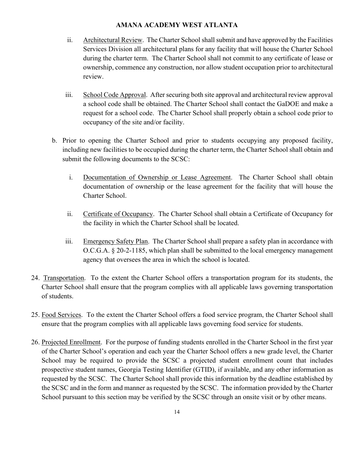- ii. Architectural Review. The Charter School shall submit and have approved by the Facilities Services Division all architectural plans for any facility that will house the Charter School during the charter term. The Charter School shall not commit to any certificate of lease or ownership, commence any construction, nor allow student occupation prior to architectural review.
- iii. School Code Approval. After securing both site approval and architectural review approval a school code shall be obtained. The Charter School shall contact the GaDOE and make a request for a school code. The Charter School shall properly obtain a school code prior to occupancy of the site and/or facility.
- b. Prior to opening the Charter School and prior to students occupying any proposed facility, including new facilities to be occupied during the charter term, the Charter School shall obtain and submit the following documents to the SCSC:
	- i. Documentation of Ownership or Lease Agreement. The Charter School shall obtain documentation of ownership or the lease agreement for the facility that will house the Charter School.
	- ii. Certificate of Occupancy. The Charter School shall obtain a Certificate of Occupancy for the facility in which the Charter School shall be located.
	- iii. Emergency Safety Plan. The Charter School shall prepare a safety plan in accordance with O.C.G.A. § 20-2-1185, which plan shall be submitted to the local emergency management agency that oversees the area in which the school is located.
- 24. Transportation. To the extent the Charter School offers a transportation program for its students, the Charter School shall ensure that the program complies with all applicable laws governing transportation of students.
- 25. Food Services. To the extent the Charter School offers a food service program, the Charter School shall ensure that the program complies with all applicable laws governing food service for students.
- 26. Projected Enrollment. For the purpose of funding students enrolled in the Charter School in the first year of the Charter School's operation and each year the Charter School offers a new grade level, the Charter School may be required to provide the SCSC a projected student enrollment count that includes prospective student names, Georgia Testing Identifier (GTID), if available, and any other information as requested by the SCSC. The Charter School shall provide this information by the deadline established by the SCSC and in the form and manner as requested by the SCSC. The information provided by the Charter School pursuant to this section may be verified by the SCSC through an onsite visit or by other means.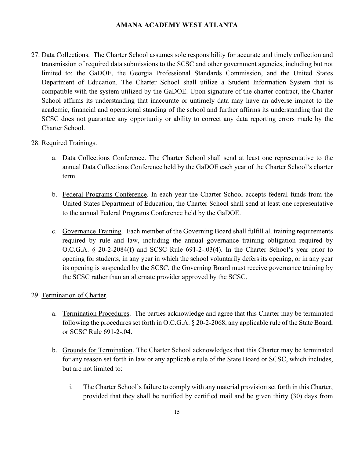27. Data Collections. The Charter School assumes sole responsibility for accurate and timely collection and transmission of required data submissions to the SCSC and other government agencies, including but not limited to: the GaDOE, the Georgia Professional Standards Commission, and the United States Department of Education. The Charter School shall utilize a Student Information System that is compatible with the system utilized by the GaDOE. Upon signature of the charter contract, the Charter School affirms its understanding that inaccurate or untimely data may have an adverse impact to the academic, financial and operational standing of the school and further affirms its understanding that the SCSC does not guarantee any opportunity or ability to correct any data reporting errors made by the Charter School.

## 28. Required Trainings.

- a. Data Collections Conference. The Charter School shall send at least one representative to the annual Data Collections Conference held by the GaDOE each year of the Charter School's charter term.
- b. Federal Programs Conference. In each year the Charter School accepts federal funds from the United States Department of Education, the Charter School shall send at least one representative to the annual Federal Programs Conference held by the GaDOE.
- c. Governance Training. Each member of the Governing Board shall fulfill all training requirements required by rule and law, including the annual governance training obligation required by O.C.G.A. § 20-2-2084(f) and SCSC Rule 691-2-.03(4). In the Charter School's year prior to opening for students, in any year in which the school voluntarily defers its opening, or in any year its opening is suspended by the SCSC, the Governing Board must receive governance training by the SCSC rather than an alternate provider approved by the SCSC.

#### 29. Termination of Charter.

- a. Termination Procedures. The parties acknowledge and agree that this Charter may be terminated following the procedures set forth in O.C.G.A. § 20-2-2068, any applicable rule of the State Board, or SCSC Rule 691-2-.04.
- b. Grounds for Termination. The Charter School acknowledges that this Charter may be terminated for any reason set forth in law or any applicable rule of the State Board or SCSC, which includes, but are not limited to:
	- i. The Charter School's failure to comply with any material provision set forth in this Charter, provided that they shall be notified by certified mail and be given thirty (30) days from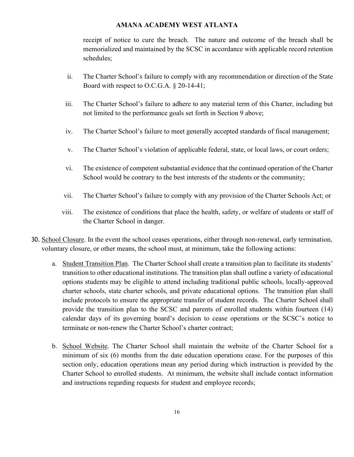receipt of notice to cure the breach. The nature and outcome of the breach shall be memorialized and maintained by the SCSC in accordance with applicable record retention schedules;

- ii. The Charter School's failure to comply with any recommendation or direction of the State Board with respect to O.C.G.A. § 20-14-41;
- iii. The Charter School's failure to adhere to any material term of this Charter, including but not limited to the performance goals set forth in Section 9 above;
- iv. The Charter School's failure to meet generally accepted standards of fiscal management;
- v. The Charter School's violation of applicable federal, state, or local laws, or court orders;
- vi. The existence of competent substantial evidence that the continued operation of the Charter School would be contrary to the best interests of the students or the community;
- vii. The Charter School's failure to comply with any provision of the Charter Schools Act; or
- viii. The existence of conditions that place the health, safety, or welfare of students or staff of the Charter School in danger.
- 30. School Closure. In the event the school ceases operations, either through non-renewal, early termination, voluntary closure, or other means, the school must, at minimum, take the following actions:
	- a. Student Transition Plan. The Charter School shall create a transition plan to facilitate its students' transition to other educational institutions. The transition plan shall outline a variety of educational options students may be eligible to attend including traditional public schools, locally-approved charter schools, state charter schools, and private educational options. The transition plan shall include protocols to ensure the appropriate transfer of student records. The Charter School shall provide the transition plan to the SCSC and parents of enrolled students within fourteen (14) calendar days of its governing board's decision to cease operations or the SCSC's notice to terminate or non-renew the Charter School's charter contract;
	- b. School Website. The Charter School shall maintain the website of the Charter School for a minimum of six (6) months from the date education operations cease. For the purposes of this section only, education operations mean any period during which instruction is provided by the Charter School to enrolled students. At minimum, the website shall include contact information and instructions regarding requests for student and employee records;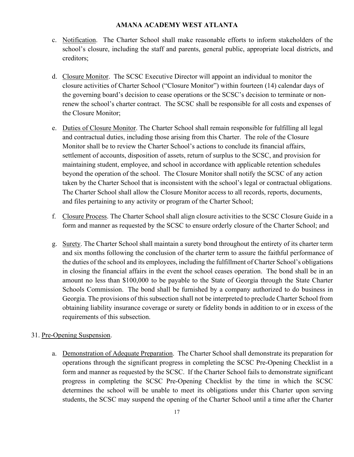- c. Notification. The Charter School shall make reasonable efforts to inform stakeholders of the school's closure, including the staff and parents, general public, appropriate local districts, and creditors;
- d. Closure Monitor. The SCSC Executive Director will appoint an individual to monitor the closure activities of Charter School ("Closure Monitor") within fourteen (14) calendar days of the governing board's decision to cease operations or the SCSC's decision to terminate or nonrenew the school's charter contract. The SCSC shall be responsible for all costs and expenses of the Closure Monitor;
- e. Duties of Closure Monitor. The Charter School shall remain responsible for fulfilling all legal and contractual duties, including those arising from this Charter. The role of the Closure Monitor shall be to review the Charter School's actions to conclude its financial affairs, settlement of accounts, disposition of assets, return of surplus to the SCSC, and provision for maintaining student, employee, and school in accordance with applicable retention schedules beyond the operation of the school. The Closure Monitor shall notify the SCSC of any action taken by the Charter School that is inconsistent with the school's legal or contractual obligations. The Charter School shall allow the Closure Monitor access to all records, reports, documents, and files pertaining to any activity or program of the Charter School;
- f. Closure Process. The Charter School shall align closure activities to the SCSC Closure Guide in a form and manner as requested by the SCSC to ensure orderly closure of the Charter School; and
- g. Surety. The Charter School shall maintain a surety bond throughout the entirety of its charter term and six months following the conclusion of the charter term to assure the faithful performance of the duties of the school and its employees, including the fulfillment of Charter School's obligations in closing the financial affairs in the event the school ceases operation. The bond shall be in an amount no less than \$100,000 to be payable to the State of Georgia through the State Charter Schools Commission. The bond shall be furnished by a company authorized to do business in Georgia. The provisions of this subsection shall not be interpreted to preclude Charter School from obtaining liability insurance coverage or surety or fidelity bonds in addition to or in excess of the requirements of this subsection.

## 31. Pre-Opening Suspension.

a. Demonstration of Adequate Preparation. The Charter School shall demonstrate its preparation for operations through the significant progress in completing the SCSC Pre-Opening Checklist in a form and manner as requested by the SCSC. If the Charter School fails to demonstrate significant progress in completing the SCSC Pre-Opening Checklist by the time in which the SCSC determines the school will be unable to meet its obligations under this Charter upon serving students, the SCSC may suspend the opening of the Charter School until a time after the Charter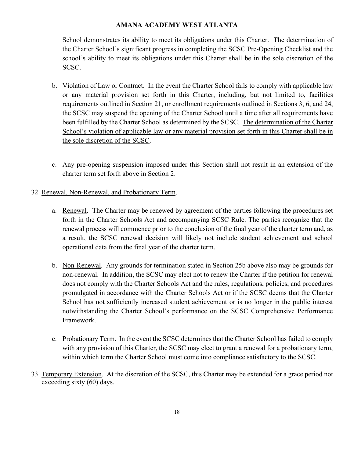School demonstrates its ability to meet its obligations under this Charter. The determination of the Charter School's significant progress in completing the SCSC Pre-Opening Checklist and the school's ability to meet its obligations under this Charter shall be in the sole discretion of the SCSC.

- b. Violation of Law or Contract. In the event the Charter School fails to comply with applicable law or any material provision set forth in this Charter, including, but not limited to, facilities requirements outlined in Section 21, or enrollment requirements outlined in Sections 3, 6, and 24, the SCSC may suspend the opening of the Charter School until a time after all requirements have been fulfilled by the Charter School as determined by the SCSC. The determination of the Charter School's violation of applicable law or any material provision set forth in this Charter shall be in the sole discretion of the SCSC.
- c. Any pre-opening suspension imposed under this Section shall not result in an extension of the charter term set forth above in Section 2.

## 32. Renewal, Non-Renewal, and Probationary Term.

- a. Renewal. The Charter may be renewed by agreement of the parties following the procedures set forth in the Charter Schools Act and accompanying SCSC Rule. The parties recognize that the renewal process will commence prior to the conclusion of the final year of the charter term and, as a result, the SCSC renewal decision will likely not include student achievement and school operational data from the final year of the charter term.
- b. Non-Renewal. Any grounds for termination stated in Section 25b above also may be grounds for non-renewal. In addition, the SCSC may elect not to renew the Charter if the petition for renewal does not comply with the Charter Schools Act and the rules, regulations, policies, and procedures promulgated in accordance with the Charter Schools Act or if the SCSC deems that the Charter School has not sufficiently increased student achievement or is no longer in the public interest notwithstanding the Charter School's performance on the SCSC Comprehensive Performance Framework.
- c. Probationary Term. In the event the SCSC determines that the Charter School has failed to comply with any provision of this Charter, the SCSC may elect to grant a renewal for a probationary term, within which term the Charter School must come into compliance satisfactory to the SCSC.
- 33. Temporary Extension. At the discretion of the SCSC, this Charter may be extended for a grace period not exceeding sixty (60) days.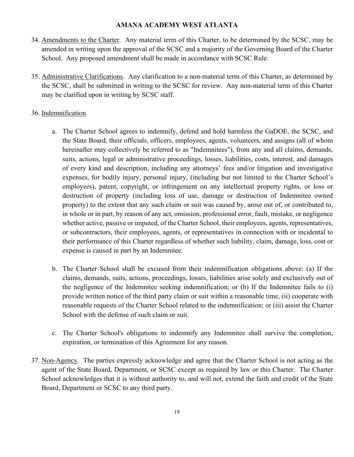- 34. Amendments to the Charter. Any material term of this Charter, to be determined by the SCSC, may be amended in writing upon the approval of the SCSC and a majority of the Governing Board of the Charter School. Any proposed amendment shall be made in accordance with SCSC Rule.
- 35. Administrative Clarifications. Any clarification to a non-material term of this Charter, as determined by the SCSC, shall be submitted in writing to the SCSC for review. Any non-material term of this Charter may be clarified upon in writing by SCSC staff.

## 36. Indemnification.

- a. The Charter School agrees to indemnify, defend and hold harmless the GaDOE, the SCSC, and the State Board, their officials, officers, employees, agents, volunteers, and assigns (all of whom hereinafter may collectively be referred to as "Indemnitees"), from any and all claims, demands, suits, actions, legal or administrative proceedings, losses, liabilities, costs, interest, and damages of every kind and description, including any attorneys' fees and/or litigation and investigative expenses, for bodily injury, personal injury, (including but not limited to the Charter School's employees), patent, copyright, or infringement on any intellectual property rights, or loss or destruction of property (including loss of use, damage or destruction of Indemnitee owned property) to the extent that any such claim or suit was caused by, arose out of, or contributed to, in whole or in part, by reason of any act, omission, professional error, fault, mistake, or negligence whether active, passive or imputed, of the Charter School, their employees, agents, representatives, or subcontractors, their employees, agents, or representatives in connection with or incidental to their performance of this Charter regardless of whether such liability, claim, damage, loss, cost or expense is caused in part by an Indemnitee.
- b. The Charter School shall be excused from their indemnification obligations above: (a) If the claims, demands, suits, actions, proceedings, losses, liabilities arise solely and exclusively out of the negligence of the Indemnitee seeking indemnification; or (b) If the Indemnitee fails to (i) provide written notice of the third party claim or suit within a reasonable time, (ii) cooperate with reasonable requests of the Charter School related to the indemnification; or (iii) assist the Charter School with the defense of such claim or suit.
- c. The Charter School's obligations to indemnify any Indemnitee shall survive the completion, expiration, or termination of this Agreement for any reason.
- 37. Non-Agency. The parties expressly acknowledge and agree that the Charter School is not acting as the agent of the State Board, Department, or SCSC except as required by law or this Charter. The Charter School acknowledges that it is without authority to, and will not, extend the faith and credit of the State Board, Department or SCSC to any third party.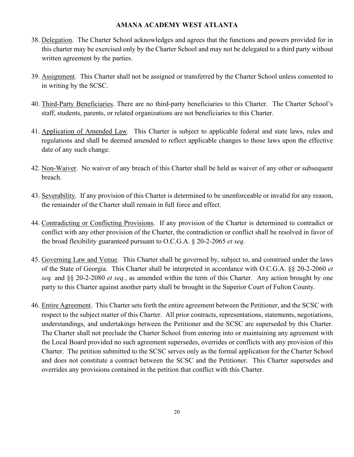- 38. Delegation. The Charter School acknowledges and agrees that the functions and powers provided for in this charter may be exercised only by the Charter School and may not be delegated to a third party without written agreement by the parties.
- 39. Assignment. This Charter shall not be assigned or transferred by the Charter School unless consented to in writing by the SCSC.
- 40. Third-Party Beneficiaries. There are no third-party beneficiaries to this Charter. The Charter School's staff, students, parents, or related organizations are not beneficiaries to this Charter.
- 41. Application of Amended Law. This Charter is subject to applicable federal and state laws, rules and regulations and shall be deemed amended to reflect applicable changes to those laws upon the effective date of any such change.
- 42. Non-Waiver. No waiver of any breach of this Charter shall be held as waiver of any other or subsequent breach.
- 43. Severability. If any provision of this Charter is determined to be unenforceable or invalid for any reason, the remainder of the Charter shall remain in full force and effect.
- 44. Contradicting or Conflicting Provisions. If any provision of the Charter is determined to contradict or conflict with any other provision of the Charter, the contradiction or conflict shall be resolved in favor of the broad flexibility guaranteed pursuant to O.C.G.A. § 20-2-2065 *et seq.*
- 45. Governing Law and Venue. This Charter shall be governed by, subject to, and construed under the laws of the State of Georgia. This Charter shall be interpreted in accordance with O.C.G.A. §§ 20-2-2060 *et seq.* and §§ 20-2-2080 *et seq.*, as amended within the term of this Charter. Any action brought by one party to this Charter against another party shall be brought in the Superior Court of Fulton County.
- 46. Entire Agreement. This Charter sets forth the entire agreement between the Petitioner, and the SCSC with respect to the subject matter of this Charter. All prior contracts, representations, statements, negotiations, understandings, and undertakings between the Petitioner and the SCSC are superseded by this Charter. The Charter shall not preclude the Charter School from entering into or maintaining any agreement with the Local Board provided no such agreement supersedes, overrides or conflicts with any provision of this Charter. The petition submitted to the SCSC serves only as the formal application for the Charter School and does not constitute a contract between the SCSC and the Petitioner. This Charter supersedes and overrides any provisions contained in the petition that conflict with this Charter.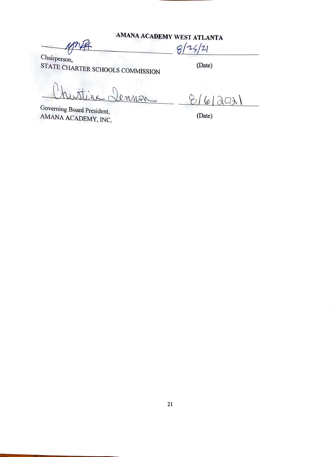$8/25/21$ 

Chairperson, STATE CHARTER SCHOOLS COMMISSION

(Date)

0 MAIN

Governing Board President, AMANA ACADEMY, INC.

 $816$  $\lambda$ O $\lambda$ )

(Date)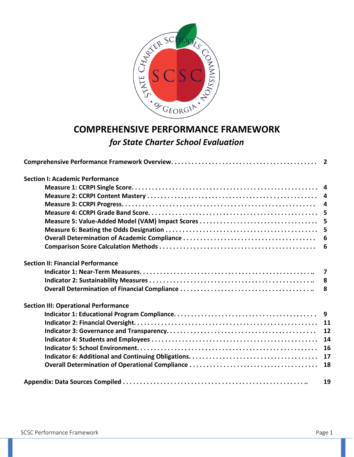

# **COMPREHENSIVE PERFORMANCE FRAMEWORK**  *for State Charter School Evaluation*

| <b>Section I: Academic Performance</b>      |    |
|---------------------------------------------|----|
|                                             |    |
|                                             |    |
|                                             |    |
|                                             |    |
|                                             |    |
|                                             |    |
|                                             | 6  |
|                                             |    |
| <b>Section II: Financial Performance</b>    |    |
|                                             |    |
|                                             | 8  |
|                                             | 8  |
| <b>Section III: Operational Performance</b> |    |
|                                             |    |
|                                             |    |
|                                             | 12 |
|                                             | 14 |
|                                             | 16 |
|                                             | 17 |
|                                             | 18 |
|                                             | 19 |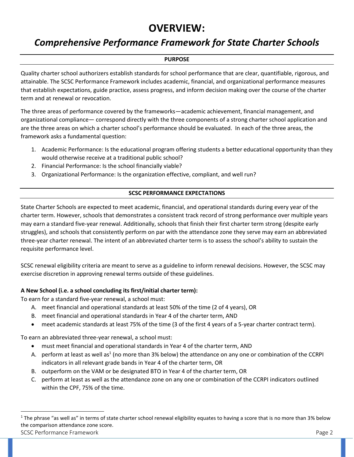# **OVERVIEW:**

## *Comprehensive Performance Framework for State Charter Schools*

## **PURPOSE**

Quality charter school authorizers establish standards for school performance that are clear, quantifiable, rigorous, and attainable. The SCSC Performance Framework includes academic, financial, and organizational performance measures that establish expectations, guide practice, assess progress, and inform decision making over the course of the charter term and at renewal or revocation.

The three areas of performance covered by the frameworks—academic achievement, financial management, and organizational compliance— correspond directly with the three components of a strong charter school application and are the three areas on which a charter school's performance should be evaluated. In each of the three areas, the framework asks a fundamental question:

- 1. Academic Performance: Is the educational program offering students a better educational opportunity than they would otherwise receive at a traditional public school?
- 2. Financial Performance: Is the school financially viable?
- 3. Organizational Performance: Is the organization effective, compliant, and well run?

## **SCSC PERFORMANCE EXPECTATIONS**

State Charter Schools are expected to meet academic, financial, and operational standards during every year of the charter term. However, schools that demonstrates a consistent track record of strong performance over multiple years may earn a standard five-year renewal. Additionally, schools that finish their first charter term strong (despite early struggles), and schools that consistently perform on par with the attendance zone they serve may earn an abbreviated three-year charter renewal. The intent of an abbreviated charter term is to assess the school's ability to sustain the requisite performance level.

SCSC renewal eligibility criteria are meant to serve as a guideline to inform renewal decisions. However, the SCSC may exercise discretion in approving renewal terms outside of these guidelines.

## **A New School (i.e. a school concluding its first/initial charter term):**

To earn for a standard five-year renewal, a school must:

- A. meet financial and operational standards at least 50% of the time (2 of 4 years), OR
- B. meet financial and operational standards in Year 4 of the charter term, AND
- meet academic standards at least 75% of the time (3 of the first 4 years of a 5-year charter contract term).

To earn an abbreviated three-year renewal, a school must:

- must meet financial and operational standards in Year 4 of the charter term, AND
- A. perform at least as well as<sup>1</sup> (no more than 3% below) the attendance on any one or combination of the CCRPI indicators in all relevant grade bands in Year 4 of the charter term, OR
- B. outperform on the VAM or be designated BTO in Year 4 of the charter term, OR
- C. perform at least as well as the attendance zone on any one or combination of the CCRPI indicators outlined within the CPF, 75% of the time.

SCSC Performance Framework **Page 2**  $1$  The phrase "as well as" in terms of state charter school renewal eligibility equates to having a score that is no more than 3% below the comparison attendance zone score.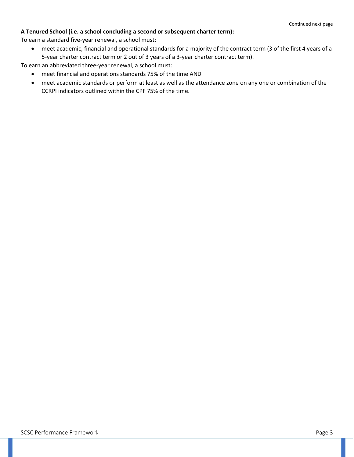#### **A Tenured School (i.e. a school concluding a second or subsequent charter term):**

To earn a standard five-year renewal, a school must:

• meet academic, financial and operational standards for a majority of the contract term (3 of the first 4 years of a 5-year charter contract term or 2 out of 3 years of a 3-year charter contract term).

To earn an abbreviated three-year renewal, a school must:

- meet financial and operations standards 75% of the time AND
- meet academic standards or perform at least as well as the attendance zone on any one or combination of the CCRPI indicators outlined within the CPF 75% of the time.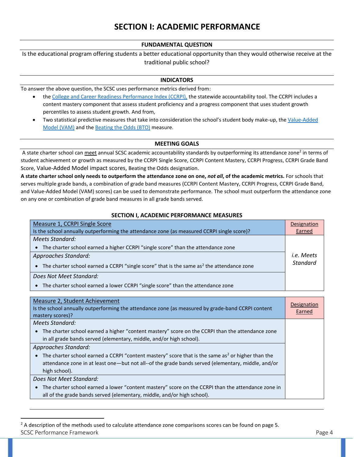#### **FUNDAMENTAL QUESTION**

Is the educational program offering students a better educational opportunity than they would otherwise receive at the traditional public school?

#### **INDICATORS**

To answer the above question, the SCSC uses performance metrics derived from:

- th[e College and Career Readiness Performance Index \(CCRPI\),](https://www.gadoe.org/CCRPI/Pages/default.aspx) the statewide accountability tool. The CCRPI includes a content mastery component that assess student proficiency and a progress component that uses student growth percentiles to assess student growth. And from,
- Two statistical predictive measures that take into consideration the school's student body make-up, the Value-Added [Model](https://scsc.georgia.gov/state-charter-school-performance/scsc-comprehensive-performance-framework/scsc-academic) (VAM) and th[e Beating the Odds \(BTO\)](https://gosa.georgia.gov/accountability-0/beating-odds-analysis) measure.

#### **MEETING GOALS**

A state charter school can <u>meet</u> annual SCSC academic accountability standards by outperforming its attendance zone<sup>2</sup> in terms of student achievement or growth as measured by the CCRPI Single Score, CCRPI Content Mastery, CCRPI Progress, CCRPI Grade Band Score, Value-Added Model impact scores, Beating the Odds designation.

**A state charter school only needs to outperform the attendance zone on one,** *not all***, of the academic metrics.** For schools that serves multiple grade bands, a combination of grade band measures (CCRPI Content Mastery, CCRPI Progress, CCRPI Grade Band, and Value-Added Model (VAM) scores) can be used to demonstrate performance. The school must outperform the attendance zone on any one or combination of grade band measures in all grade bands served.

#### **SECTION I, ACADEMIC PERFORMANCE MEASURES**

| Measure 1, CCRPI Single Score                                                                           | Designation     |
|---------------------------------------------------------------------------------------------------------|-----------------|
| Is the school annually outperforming the attendance zone (as measured CCRPI single score)?              | Earned          |
| Meets Standard:                                                                                         |                 |
| The charter school earned a higher CCRPI "single score" than the attendance zone                        |                 |
| Approaches Standard:                                                                                    |                 |
| • The charter school earned a CCRPI "single score" that is the same as <sup>2</sup> the attendance zone | <b>Standard</b> |
| Does Not Meet Standard:                                                                                 |                 |
| • The charter school earned a lower CCRPI "single score" than the attendance zone                       |                 |

| Measure 2, Student Achievement<br>Is the school annually outperforming the attendance zone (as measured by grade-band CCRPI content<br>mastery scores)? | Designation<br>Earned |
|---------------------------------------------------------------------------------------------------------------------------------------------------------|-----------------------|
| Meets Standard:                                                                                                                                         |                       |
| The charter school earned a higher "content mastery" score on the CCRPI than the attendance zone                                                        |                       |
| in all grade bands served (elementary, middle, and/or high school).                                                                                     |                       |
| Approaches Standard:                                                                                                                                    |                       |
| The charter school earned a CCRPI "content mastery" score that is the same as <sup>2</sup> or higher than the                                           |                       |
| attendance zone in at least one-but not all--of the grade bands served (elementary, middle, and/or                                                      |                       |
| high school).                                                                                                                                           |                       |
| Does Not Meet Standard:                                                                                                                                 |                       |
| The charter school earned a lower "content mastery" score on the CCRPI than the attendance zone in                                                      |                       |
| all of the grade bands served (elementary, middle, and/or high school).                                                                                 |                       |

SCSC Performance Framework Page 4  $2$  A description of the methods used to calculate attendance zone comparisons scores can be found on page 5.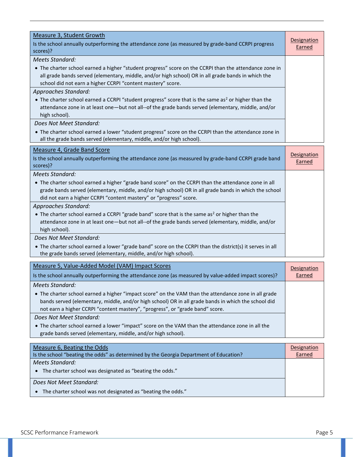| <b>Measure 3, Student Growth</b><br>Is the school annually outperforming the attendance zone (as measured by grade-band CCRPI progress<br>scores)?                                                                                                                                           | Designation<br><b>Earned</b>        |
|----------------------------------------------------------------------------------------------------------------------------------------------------------------------------------------------------------------------------------------------------------------------------------------------|-------------------------------------|
| <b>Meets Standard:</b>                                                                                                                                                                                                                                                                       |                                     |
| • The charter school earned a higher "student progress" score on the CCRPI than the attendance zone in<br>all grade bands served (elementary, middle, and/or high school) OR in all grade bands in which the<br>school did not earn a higher CCRPI "content mastery" score.                  |                                     |
| Approaches Standard:                                                                                                                                                                                                                                                                         |                                     |
| • The charter school earned a CCRPI "student progress" score that is the same as <sup>2</sup> or higher than the<br>attendance zone in at least one-but not all--of the grade bands served (elementary, middle, and/or<br>high school).                                                      |                                     |
| Does Not Meet Standard:                                                                                                                                                                                                                                                                      |                                     |
| • The charter school earned a lower "student progress" score on the CCRPI than the attendance zone in<br>all the grade bands served (elementary, middle, and/or high school).                                                                                                                |                                     |
| <b>Measure 4, Grade Band Score</b>                                                                                                                                                                                                                                                           |                                     |
| Is the school annually outperforming the attendance zone (as measured by grade-band CCRPI grade band<br>scores)?                                                                                                                                                                             | Designation<br>Earned               |
| <b>Meets Standard:</b>                                                                                                                                                                                                                                                                       |                                     |
| • The charter school earned a higher "grade band score" on the CCRPI than the attendance zone in all<br>grade bands served (elementary, middle, and/or high school) OR in all grade bands in which the school<br>did not earn a higher CCRPI "content mastery" or "progress" score.          |                                     |
| Approaches Standard:                                                                                                                                                                                                                                                                         |                                     |
| • The charter school earned a CCRPI "grade band" score that is the same as <sup>2</sup> or higher than the<br>attendance zone in at least one-but not all--of the grade bands served (elementary, middle, and/or<br>high school).                                                            |                                     |
| Does Not Meet Standard:                                                                                                                                                                                                                                                                      |                                     |
| • The charter school earned a lower "grade band" score on the CCRPI than the district(s) it serves in all<br>the grade bands served (elementary, middle, and/or high school).                                                                                                                |                                     |
| Measure 5, Value-Added Model (VAM) Impact Scores                                                                                                                                                                                                                                             |                                     |
| Is the school annually outperforming the attendance zone (as measured by value-added impact scores)?                                                                                                                                                                                         | <b>Designation</b><br><b>Earned</b> |
| Meets Standard:                                                                                                                                                                                                                                                                              |                                     |
| • The charter school earned a higher "impact score" on the VAM than the attendance zone in all grade<br>bands served (elementary, middle, and/or high school) OR in all grade bands in which the school did<br>not earn a higher CCRPI "content mastery", "progress", or "grade band" score. |                                     |
| Does Not Meet Standard:                                                                                                                                                                                                                                                                      |                                     |
| • The charter school earned a lower "impact" score on the VAM than the attendance zone in all the                                                                                                                                                                                            |                                     |
| grade bands served (elementary, middle, and/or high school).                                                                                                                                                                                                                                 |                                     |
|                                                                                                                                                                                                                                                                                              |                                     |
| Measure 6, Beating the Odds<br>Is the school "beating the odds" as determined by the Georgia Department of Education?                                                                                                                                                                        | <b>Designation</b><br>Earned        |
| <b>Meets Standard:</b>                                                                                                                                                                                                                                                                       |                                     |
| The charter school was designated as "beating the odds."                                                                                                                                                                                                                                     |                                     |
| Does Not Meet Standard:                                                                                                                                                                                                                                                                      |                                     |

• The charter school was not designated as "beating the odds."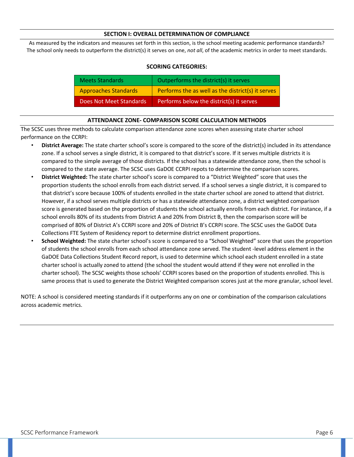#### **SECTION I: OVERALL DETERMINATION OF COMPLIANCE**

As measured by the indicators and measures set forth in this section, is the school meeting academic performance standards? The school only needs to outperform the district(s) it serves on one, *not all*, of the academic metrics in order to meet standards.

| <b>Meets Standards</b>      | Outperforms the district(s) it serves             |
|-----------------------------|---------------------------------------------------|
| <b>Approaches Standards</b> | Performs the as well as the district(s) it serves |
| Does Not Meet Standards     | Performs below the district(s) it serves          |

#### **SCORING CATEGORIES:**

#### **ATTENDANCE ZONE- COMPARISON SCORE CALCULATION METHODS**

The SCSC uses three methods to calculate comparison attendance zone scores when assessing state charter school performance on the CCRPI:

- **District Average:** The state charter school's score is compared to the score of the district(s) included in its attendance zone. If a school serves a single district, it is compared to that district's score. If it serves multiple districts it is compared to the simple average of those districts. If the school has a statewide attendance zone, then the school is compared to the state average. The SCSC uses GaDOE CCRPI repots to determine the comparison scores.
- **District Weighted:** The state charter school's score is compared to a "District Weighted" score that uses the proportion students the school enrolls from each district served. If a school serves a single district, it is compared to that district's score because 100% of students enrolled in the state charter school are zoned to attend that district. However, if a school serves multiple districts or has a statewide attendance zone, a district weighted comparison score is generated based on the proportion of students the school actually enrolls from each district. For instance, if a school enrolls 80% of its students from District A and 20% from District B, then the comparison score will be comprised of 80% of District A's CCRPI score and 20% of District B's CCRPI score. The SCSC uses the GaDOE Data Collections FTE System of Residency report to determine district enrollment proportions.
- **School Weighted:** The state charter school's score is compared to a "School Weighted" score that uses the proportion of students the school enrolls from each school attendance zone served. The student -level address element in the GaDOE Data Collections Student Record report, is used to determine which school each student enrolled in a state charter school is actually zoned to attend (the school the student would attend if they were not enrolled in the charter school). The SCSC weights those schools' CCRPI scores based on the proportion of students enrolled. This is same process that is used to generate the District Weighted comparison scores just at the more granular, school level.

NOTE: A school is considered meeting standards if it outperforms any on one or combination of the comparison calculations across academic metrics.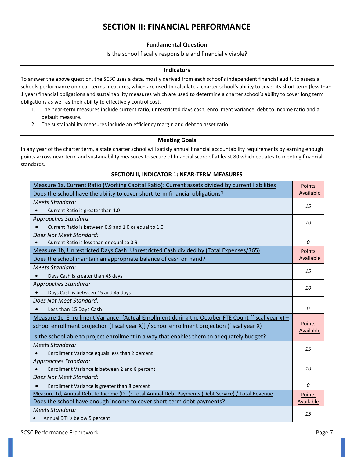## **SECTION II: FINANCIAL PERFORMANCE**

#### **Fundamental Question**

#### Is the school fiscally responsible and financially viable?

#### **Indicators**

To answer the above question, the SCSC uses a data, mostly derived from each school's independent financial audit, to assess a schools performance on near-terms measures, which are used to calculate a charter school's ability to cover its short term (less than 1 year) financial obligations and sustainability measures which are used to determine a charter school's ability to cover long term obligations as well as their ability to effectively control cost.

- 1. The near-term measures include current ratio, unrestricted days cash, enrollment variance, debt to income ratio and a default measure.
- 2. The sustainability measures include an efficiency margin and debt to asset ratio.

#### **Meeting Goals**

In any year of the charter term, a state charter school will satisfy annual financial accountability requirements by earning enough points across near-term and sustainability measures to secure of financial score of at least 80 which equates to meeting financial standards.

#### **SECTION II, INDICATOR 1: NEAR-TERM MEASURES**

| Measure 1a, Current Ratio (Working Capital Ratio): Current assets divided by current liabilities   |           |
|----------------------------------------------------------------------------------------------------|-----------|
| Does the school have the ability to cover short-term financial obligations?                        |           |
| <b>Meets Standard:</b>                                                                             |           |
| Current Ratio is greater than 1.0                                                                  | 15        |
| Approaches Standard:                                                                               | 10        |
| Current Ratio is between 0.9 and 1.0 or equal to 1.0                                               |           |
| Does Not Meet Standard:                                                                            |           |
| Current Ratio is less than or equal to 0.9                                                         | 0         |
| Measure 1b, Unrestricted Days Cash: Unrestricted Cash divided by (Total Expenses/365)              | Points    |
| Does the school maintain an appropriate balance of cash on hand?                                   | Available |
| Meets Standard:                                                                                    | 15        |
| Days Cash is greater than 45 days                                                                  |           |
| Approaches Standard:                                                                               | 10        |
| Days Cash is between 15 and 45 days                                                                |           |
| Does Not Meet Standard:                                                                            |           |
| Less than 15 Days Cash                                                                             |           |
| Measure 1c, Enrollment Variance: [Actual Enrollment during the October FTE Count (fiscal year x) - |           |
| school enrollment projection (fiscal year X)] / school enrollment projection (fiscal year X)       |           |
| Is the school able to project enrollment in a way that enables them to adequately budget?          |           |
| Meets Standard:                                                                                    |           |
| Enrollment Variance equals less than 2 percent                                                     |           |
| Approaches Standard:                                                                               |           |
| Enrollment Variance is between 2 and 8 percent                                                     |           |
| Does Not Meet Standard:                                                                            |           |
| Enrollment Variance is greater than 8 percent                                                      |           |
| Measure 1d, Annual Debt to Income (DTI): Total Annual Debt Payments (Debt Service) / Total Revenue |           |
| Does the school have enough income to cover short-term debt payments?                              |           |
| <b>Meets Standard:</b>                                                                             |           |
| Annual DTI is below 5 percent                                                                      | 15        |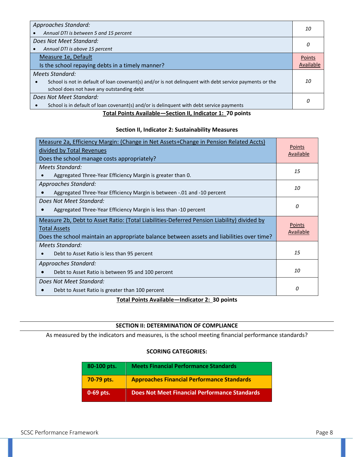| Approaches Standard:<br>Annual DTI is between 5 and 15 percent                                          | 10 |
|---------------------------------------------------------------------------------------------------------|----|
| Does Not Meet Standard:                                                                                 |    |
| Annual DTI is above 15 percent<br>$\bullet$                                                             |    |
| Measure 1e, Default                                                                                     |    |
| Is the school repaying debts in a timely manner?                                                        |    |
| Meets Standard:                                                                                         |    |
| School is not in default of loan covenant(s) and/or is not delinguent with debt service payments or the | 10 |
| school does not have any outstanding debt                                                               |    |
| Does Not Meet Standard:                                                                                 |    |
| School is in default of loan covenant(s) and/or is delinguent with debt service payments                |    |

#### **Total Points Available—Section II, Indicator 1: 70 points**

#### **Section II, Indicator 2: Sustainability Measures**

| Measure 2a, Efficiency Margin: (Change in Net Assets+Change in Pension Related Accts)<br>divided by Total Revenues<br>Does the school manage costs appropriately?                                              |    |
|----------------------------------------------------------------------------------------------------------------------------------------------------------------------------------------------------------------|----|
| Meets Standard:<br>Aggregated Three-Year Efficiency Margin is greater than 0.                                                                                                                                  |    |
| Approaches Standard:<br>Aggregated Three-Year Efficiency Margin is between -.01 and -10 percent                                                                                                                | 10 |
| Does Not Meet Standard:<br>Aggregated Three-Year Efficiency Margin is less than -10 percent                                                                                                                    | 0  |
| Measure 2b, Debt to Asset Ratio: (Total Liabilities-Deferred Pension Liability) divided by<br><b>Total Assets</b><br>Does the school maintain an appropriate balance between assets and liabilities over time? |    |
| Meets Standard:<br>Debt to Asset Ratio is less than 95 percent                                                                                                                                                 | 15 |
| Approaches Standard:<br>Debt to Asset Ratio is between 95 and 100 percent                                                                                                                                      |    |
| Does Not Meet Standard:<br>Debt to Asset Ratio is greater than 100 percent                                                                                                                                     | 0  |

## **Total Points Available—Indicator 2: 30 points**

## **SECTION II: DETERMINATION OF COMPLIANCE**

As measured by the indicators and measures, is the school meeting financial performance standards?

### **SCORING CATEGORIES:**

| 80-100 pts. | <b>Meets Financial Performance Standards</b>         |
|-------------|------------------------------------------------------|
| 70-79 pts.  | <b>Approaches Financial Performance Standards</b>    |
| 0-69 pts.   | <b>Does Not Meet Financial Performance Standards</b> |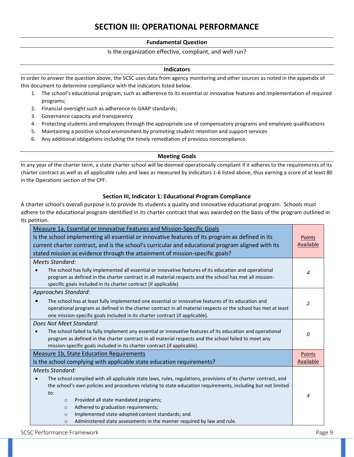## **SECTION III: OPERATIONAL PERFORMANCE**

#### **Fundamental Question**

#### Is the organization effective, compliant, and well run?

#### **Indicators**

In order to answer the question above, the SCSC uses data from agency monitoring and other sources as noted in the appendix of this document to determine compliance with the indicators listed below.

- 1. The school's educational program, such as adherence to its essential or innovative features and implementation of required programs;
- 2. Financial oversight such as adherence to GAAP standards;
- 3. Governance capacity and transparency
- 4. Protecting students and employees through the appropriate use of compensatory programs and employee qualifications
- 5. Maintaining a positive school environment by promoting student retention and support services
- 6. Any additional obligations including the timely remediation of previous noncompliance.

#### **Meeting Goals**

In any year of the charter term, a state charter school will be deemed operationally compliant if it adheres to the requirements of its charter contract as well as all applicable rules and laws as measured by indicators 1-6 listed above, thus earning a score of at least 80 in the Operations section of the CPF.

#### **Section III, Indicator 1: Educational Program Compliance**

A charter school's overall purpose is to provide its students a quality and innovative educational program. Schools must adhere to the educational program identified in its charter contract that was awarded on the basis of the program outlined in its petition.

| Measure 1a, Essential or Innovative Features and Mission-Specific Goals<br>Is the school implementing all essential or innovative features of its program as defined in its<br>current charter contract, and is the school's curricular and educational program aligned with its<br>stated mission as evidence through the attainment of mission-specific goals?                                                                                                                                                                |               |
|---------------------------------------------------------------------------------------------------------------------------------------------------------------------------------------------------------------------------------------------------------------------------------------------------------------------------------------------------------------------------------------------------------------------------------------------------------------------------------------------------------------------------------|---------------|
| Meets Standard:<br>The school has fully implemented all essential or innovative features of its education and operational<br>program as defined in the charter contract in all material respects and the school has met all mission-<br>specific goals included in its charter contract (if applicable)                                                                                                                                                                                                                         |               |
| <b>Approaches Standard:</b><br>The school has at least fully implemented one essential or innovative features of its education and<br>operational program as defined in the charter contract in all material respects or the school has met at least<br>one mission-specific goals included in its charter contract (if applicable).                                                                                                                                                                                            | $\mathcal{P}$ |
| Does Not Meet Standard:<br>The school failed to fully implement any essential or innovative features of its education and operational<br>program as defined in the charter contract in all material respects and the school failed to meet any<br>mission-specific goals included in its charter contract (if applicable).                                                                                                                                                                                                      |               |
| <b>Measure 1b, State Education Requirements</b><br>Is the school complying with applicable state education requirements?                                                                                                                                                                                                                                                                                                                                                                                                        |               |
| Meets Standard:<br>The school complied with all applicable state laws, rules, regulations, provisions of its charter contract, and<br>the school's own policies and procedures relating to state education requirements, including but not limited<br>$\mathsf{to}$ :<br>Provided all state mandated programs;<br>$\circ$<br>Adhered to graduation requirements;<br>$\circ$<br>Implemented state-adopted content standards; and<br>$\circ$<br>Administered state assessments in the manner required by law and rule.<br>$\circ$ | 4             |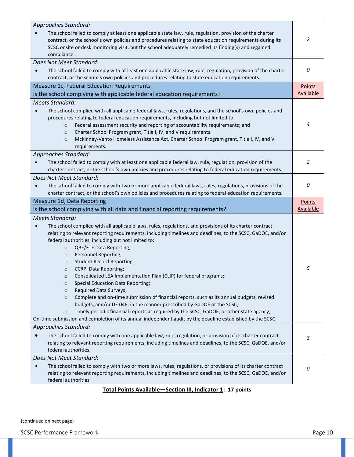| The school failed to comply at least one applicable state law, rule, regulation, provision of the charter<br>contract, or the school's own policies and procedures relating to state education requirements during its<br>SCSC onsite or desk monitoring visit, but the school adequately remedied its finding(s) and regained<br>compliance.                                                                                                                                                                                                                                                                                                                                                                                                                                                                                                                                                                                                                                                                                                                | 2                          |
|--------------------------------------------------------------------------------------------------------------------------------------------------------------------------------------------------------------------------------------------------------------------------------------------------------------------------------------------------------------------------------------------------------------------------------------------------------------------------------------------------------------------------------------------------------------------------------------------------------------------------------------------------------------------------------------------------------------------------------------------------------------------------------------------------------------------------------------------------------------------------------------------------------------------------------------------------------------------------------------------------------------------------------------------------------------|----------------------------|
| Does Not Meet Standard:<br>The school failed to comply with at least one applicable state law, rule, regulation, provision of the charter<br>contract, or the school's own policies and procedures relating to state education requirements.                                                                                                                                                                                                                                                                                                                                                                                                                                                                                                                                                                                                                                                                                                                                                                                                                 | 0                          |
| Measure 1c, Federal Education Requirements<br>Is the school complying with applicable federal education requirements?                                                                                                                                                                                                                                                                                                                                                                                                                                                                                                                                                                                                                                                                                                                                                                                                                                                                                                                                        | Points<br><b>Available</b> |
| <b>Meets Standard:</b>                                                                                                                                                                                                                                                                                                                                                                                                                                                                                                                                                                                                                                                                                                                                                                                                                                                                                                                                                                                                                                       |                            |
| The school complied with all applicable federal laws, rules, regulations, and the school's own policies and<br>procedures relating to federal education requirements, including but not limited to:<br>Federal assessment security and reporting of accountability requirements; and<br>$\circ$<br>Charter School Program grant, Title I, IV, and V requirements.<br>$\circ$<br>McKinney-Vento Homeless Assistance Act, Charter School Program grant, Title I, IV, and V<br>$\circ$<br>requirements.                                                                                                                                                                                                                                                                                                                                                                                                                                                                                                                                                         | 4                          |
| Approaches Standard:<br>The school failed to comply with at least one applicable federal law, rule, regulation, provision of the<br>charter contract, or the school's own policies and procedures relating to federal education requirements.                                                                                                                                                                                                                                                                                                                                                                                                                                                                                                                                                                                                                                                                                                                                                                                                                | 2                          |
| Does Not Meet Standard:<br>The school failed to comply with two or more applicable federal laws, rules, regulations, provisions of the<br>charter contract, or the school's own policies and procedures relating to federal education requirements.                                                                                                                                                                                                                                                                                                                                                                                                                                                                                                                                                                                                                                                                                                                                                                                                          | 0                          |
| <b>Measure 1d, Data Reporting</b>                                                                                                                                                                                                                                                                                                                                                                                                                                                                                                                                                                                                                                                                                                                                                                                                                                                                                                                                                                                                                            | Points                     |
| Is the school complying with all data and financial reporting requirements?                                                                                                                                                                                                                                                                                                                                                                                                                                                                                                                                                                                                                                                                                                                                                                                                                                                                                                                                                                                  | <b>Available</b>           |
| <b>Meets Standard:</b><br>The school complied with all applicable laws, rules, regulations, and provisions of its charter contract<br>relating to relevant reporting requirements, including timelines and deadlines, to the SCSC, GaDOE, and/or<br>federal authorities, including but not limited to:<br>QBE/FTE Data Reporting;<br>$\circ$<br>Personnel Reporting;<br>$\circ$<br><b>Student Record Reporting;</b><br>$\circ$<br><b>CCRPI Data Reporting;</b><br>$\circ$<br>Consolidated LEA Implementation Plan (CLIP) for federal programs;<br>$\circ$<br><b>Special Education Data Reporting;</b><br>$\circ$<br>Required Data Surveys;<br>$\circ$<br>Complete and on-time submission of financial reports, such as its annual budgets, revised<br>$\circ$<br>budgets, and/or DE 046, in the manner prescribed by GaDOE or the SCSC;<br>Timely periodic financial reports as required by the SCSC, GaDOE, or other state agency;<br>$\circ$<br>On-time submission and completion of its annual independent audit by the deadline established by the SCSC. | 5                          |
| Approaches Standard:<br>The school failed to comply with one applicable law, rule, regulation, or provision of its charter contract<br>relating to relevant reporting requirements, including timelines and deadlines, to the SCSC, GaDOE, and/or                                                                                                                                                                                                                                                                                                                                                                                                                                                                                                                                                                                                                                                                                                                                                                                                            | 3                          |
| federal authorities.                                                                                                                                                                                                                                                                                                                                                                                                                                                                                                                                                                                                                                                                                                                                                                                                                                                                                                                                                                                                                                         |                            |
| Does Not Meet Standard:<br>The school failed to comply with two or more laws, rules, regulations, or provisions of its charter contract<br>relating to relevant reporting requirements, including timelines and deadlines, to the SCSC, GaDOE, and/or<br>federal authorities.<br>Total Dointe Available. Costian III, Indicator 1: 17 nointe                                                                                                                                                                                                                                                                                                                                                                                                                                                                                                                                                                                                                                                                                                                 | 0                          |

**Total Points Available—Section III, Indicator 1: 17 points**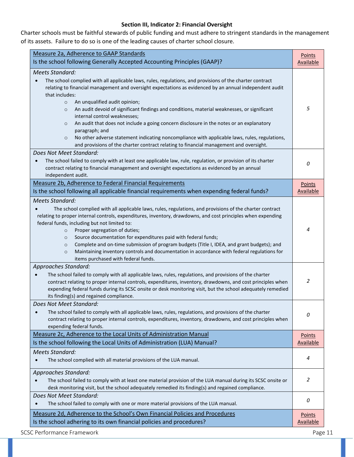#### **Section III, Indicator 2: Financial Oversight**

Charter schools must be faithful stewards of public funding and must adhere to stringent standards in the management of its assets. Failure to do so is one of the leading causes of charter school closure.

| Measure 2a, Adherence to GAAP Standards<br>Is the school following Generally Accepted Accounting Principles (GAAP)?                                                                                                                                                                                                                                                                                                                                                                                                                                                                                                                                                                                                                                                                  | Points<br><b>Available</b> |
|--------------------------------------------------------------------------------------------------------------------------------------------------------------------------------------------------------------------------------------------------------------------------------------------------------------------------------------------------------------------------------------------------------------------------------------------------------------------------------------------------------------------------------------------------------------------------------------------------------------------------------------------------------------------------------------------------------------------------------------------------------------------------------------|----------------------------|
| <b>Meets Standard:</b><br>The school complied with all applicable laws, rules, regulations, and provisions of the charter contract<br>relating to financial management and oversight expectations as evidenced by an annual independent audit<br>that includes:<br>An unqualified audit opinion;<br>$\circ$<br>An audit devoid of significant findings and conditions, material weaknesses, or significant<br>$\circ$<br>internal control weaknesses;<br>An audit that does not include a going concern disclosure in the notes or an explanatory<br>$\circ$<br>paragraph; and<br>No other adverse statement indicating noncompliance with applicable laws, rules, regulations,<br>$\circ$<br>and provisions of the charter contract relating to financial management and oversight. | 5                          |
| Does Not Meet Standard:<br>The school failed to comply with at least one applicable law, rule, regulation, or provision of its charter<br>$\bullet$<br>contract relating to financial management and oversight expectations as evidenced by an annual<br>independent audit.                                                                                                                                                                                                                                                                                                                                                                                                                                                                                                          | 0                          |
| Measure 2b, Adherence to Federal Financial Requirements<br>Is the school following all applicable financial requirements when expending federal funds?                                                                                                                                                                                                                                                                                                                                                                                                                                                                                                                                                                                                                               | Points<br><b>Available</b> |
| Meets Standard:<br>The school complied with all applicable laws, rules, regulations, and provisions of the charter contract<br>relating to proper internal controls, expenditures, inventory, drawdowns, and cost principles when expending<br>federal funds, including but not limited to:<br>Proper segregation of duties;<br>$\circ$<br>Source documentation for expenditures paid with federal funds;<br>$\circ$<br>Complete and on-time submission of program budgets (Title I, IDEA, and grant budgets); and<br>$\circ$<br>Maintaining inventory controls and documentation in accordance with federal regulations for<br>$\circ$<br>items purchased with federal funds.                                                                                                       | 4                          |
| Approaches Standard:<br>The school failed to comply with all applicable laws, rules, regulations, and provisions of the charter<br>$\bullet$<br>contract relating to proper internal controls, expenditures, inventory, drawdowns, and cost principles when<br>expending federal funds during its SCSC onsite or desk monitoring visit, but the school adequately remedied<br>its finding(s) and regained compliance.                                                                                                                                                                                                                                                                                                                                                                | 2                          |
| Does Not Meet Standard:<br>The school failed to comply with all applicable laws, rules, regulations, and provisions of the charter<br>$\bullet$<br>contract relating to proper internal controls, expenditures, inventory, drawdowns, and cost principles when<br>expending federal funds.                                                                                                                                                                                                                                                                                                                                                                                                                                                                                           | 0                          |
| Measure 2c, Adherence to the Local Units of Administration Manual<br>Is the school following the Local Units of Administration (LUA) Manual?                                                                                                                                                                                                                                                                                                                                                                                                                                                                                                                                                                                                                                         | Points<br>Available        |
| <b>Meets Standard:</b><br>The school complied with all material provisions of the LUA manual.                                                                                                                                                                                                                                                                                                                                                                                                                                                                                                                                                                                                                                                                                        | 4                          |
| Approaches Standard:<br>The school failed to comply with at least one material provision of the LUA manual during its SCSC onsite or<br>desk monitoring visit, but the school adequately remedied its finding(s) and regained compliance.                                                                                                                                                                                                                                                                                                                                                                                                                                                                                                                                            | 2                          |
| Does Not Meet Standard:<br>The school failed to comply with one or more material provisions of the LUA manual.<br>$\bullet$                                                                                                                                                                                                                                                                                                                                                                                                                                                                                                                                                                                                                                                          | 0                          |
| Measure 2d, Adherence to the School's Own Financial Policies and Procedures<br>Is the school adhering to its own financial policies and procedures?                                                                                                                                                                                                                                                                                                                                                                                                                                                                                                                                                                                                                                  | Points<br><b>Available</b> |

SCSC Performance Framework **Page 11**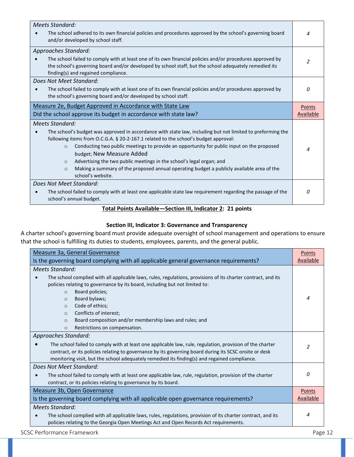| <b>Meets Standard:</b><br>The school adhered to its own financial policies and procedures approved by the school's governing board<br>and/or developed by school staff.                                                                                                                                                                                                                                                                                                                                                                                                    | 4                   |
|----------------------------------------------------------------------------------------------------------------------------------------------------------------------------------------------------------------------------------------------------------------------------------------------------------------------------------------------------------------------------------------------------------------------------------------------------------------------------------------------------------------------------------------------------------------------------|---------------------|
| Approaches Standard:<br>The school failed to comply with at least one of its own financial policies and/or procedures approved by<br>the school's governing board and/or developed by school staff, but the school adequately remedied its<br>finding(s) and regained compliance.                                                                                                                                                                                                                                                                                          | 2                   |
| Does Not Meet Standard:<br>The school failed to comply with at least one of its own financial policies and/or procedures approved by<br>the school's governing board and/or developed by school staff.                                                                                                                                                                                                                                                                                                                                                                     | 0                   |
| Measure 2e, Budget Approved in Accordance with State Law<br>Did the school approve its budget in accordance with state law?                                                                                                                                                                                                                                                                                                                                                                                                                                                | Points<br>Available |
| Meets Standard:<br>The school's budget was approved in accordance with state law, including but not limited to preforming the<br>following items from O.C.G.A. § 20-2-167.1 related to the school's budget approval:<br>Conducting two public meetings to provide an opportunity for public input on the proposed<br>$\circ$<br>budget; New Measure Added<br>Advertising the two public meetings in the school's legal organ; and<br>$\circ$<br>Making a summary of the proposed annual operating budget a publicly available area of the<br>$\Omega$<br>school's website. | 4                   |
| Does Not Meet Standard:<br>The school failed to comply with at least one applicable state law requirement regarding the passage of the<br>school's annual budget.                                                                                                                                                                                                                                                                                                                                                                                                          | 0                   |

## **Total Points Available—Section III, Indicator 2: 21 points**

## **Section III, Indicator 3: Governance and Transparency**

A charter school's governing board must provide adequate oversight of school management and operations to ensure that the school is fulfilling its duties to students, employees, parents, and the general public.

| Measure 3a, General Governance                                                                                    |               |  |
|-------------------------------------------------------------------------------------------------------------------|---------------|--|
| Available<br>Is the governing board complying with all applicable general governance requirements?                |               |  |
| Meets Standard:                                                                                                   |               |  |
| The school complied with all applicable laws, rules, regulations, provisions of its charter contract, and its     |               |  |
| policies relating to governance by its board, including but not limited to:                                       |               |  |
| Board policies;<br>$\circ$                                                                                        |               |  |
| Board bylaws;<br>$\circ$                                                                                          | 4             |  |
| Code of ethics;<br>$\circ$                                                                                        |               |  |
| Conflicts of interest;<br>$\circ$                                                                                 |               |  |
| Board composition and/or membership laws and rules; and<br>$\circ$                                                |               |  |
| Restrictions on compensation.<br>$\circ$                                                                          |               |  |
| Approaches Standard:                                                                                              |               |  |
| The school failed to comply with at least one applicable law, rule, regulation, provision of the charter          | $\mathfrak z$ |  |
| contract, or its policies relating to governance by its governing board during its SCSC onsite or desk            |               |  |
| monitoring visit, but the school adequately remedied its finding(s) and regained compliance.                      |               |  |
| Does Not Meet Standard:                                                                                           |               |  |
| The school failed to comply with at least one applicable law, rule, regulation, provision of the charter          | n             |  |
| contract, or its policies relating to governance by its board.                                                    |               |  |
| Measure 3b, Open Governance<br>Points                                                                             |               |  |
| Is the governing board complying with all applicable open governance requirements?                                |               |  |
| Meets Standard:                                                                                                   |               |  |
| 4<br>The school complied with all applicable laws, rules, regulations, provision of its charter contract, and its |               |  |
| policies relating to the Georgia Open Meetings Act and Open Records Act requirements.                             |               |  |

SCSC Performance Framework **Page 12**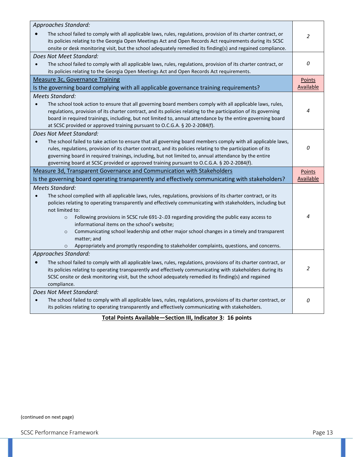| Approaches Standard:                                                                                                                                                                                                                                                                                                                       |                     |
|--------------------------------------------------------------------------------------------------------------------------------------------------------------------------------------------------------------------------------------------------------------------------------------------------------------------------------------------|---------------------|
| The school failed to comply with all applicable laws, rules, regulations, provision of its charter contract, or<br>its policies relating to the Georgia Open Meetings Act and Open Records Act requirements during its SCSC<br>onsite or desk monitoring visit, but the school adequately remedied its finding(s) and regained compliance. | $\overline{2}$      |
| Does Not Meet Standard:                                                                                                                                                                                                                                                                                                                    |                     |
| The school failed to comply with all applicable laws, rules, regulations, provision of its charter contract, or                                                                                                                                                                                                                            | 0                   |
| its policies relating to the Georgia Open Meetings Act and Open Records Act requirements.                                                                                                                                                                                                                                                  |                     |
| Measure 3c, Governance Training                                                                                                                                                                                                                                                                                                            | Points              |
| Is the governing board complying with all applicable governance training requirements?                                                                                                                                                                                                                                                     | <b>Available</b>    |
| <b>Meets Standard:</b>                                                                                                                                                                                                                                                                                                                     |                     |
| The school took action to ensure that all governing board members comply with all applicable laws, rules,                                                                                                                                                                                                                                  |                     |
| regulations, provision of its charter contract, and its policies relating to the participation of its governing                                                                                                                                                                                                                            | 4                   |
| board in required trainings, including, but not limited to, annual attendance by the entire governing board                                                                                                                                                                                                                                |                     |
| at SCSC provided or approved training pursuant to O.C.G.A. § 20-2-2084(f).                                                                                                                                                                                                                                                                 |                     |
| Does Not Meet Standard:                                                                                                                                                                                                                                                                                                                    |                     |
| The school failed to take action to ensure that all governing board members comply with all applicable laws,<br>$\bullet$                                                                                                                                                                                                                  | 0                   |
| rules, regulations, provision of its charter contract, and its policies relating to the participation of its<br>governing board in required trainings, including, but not limited to, annual attendance by the entire                                                                                                                      |                     |
| governing board at SCSC provided or approved training pursuant to O.C.G.A. § 20-2-2084(f).                                                                                                                                                                                                                                                 |                     |
|                                                                                                                                                                                                                                                                                                                                            |                     |
|                                                                                                                                                                                                                                                                                                                                            |                     |
| Measure 3d, Transparent Governance and Communication with Stakeholders                                                                                                                                                                                                                                                                     | Points<br>Available |
| Is the governing board operating transparently and effectively communicating with stakeholders?                                                                                                                                                                                                                                            |                     |
| <b>Meets Standard:</b>                                                                                                                                                                                                                                                                                                                     |                     |
| The school complied with all applicable laws, rules, regulations, provisions of its charter contract, or its<br>$\bullet$                                                                                                                                                                                                                  |                     |
| policies relating to operating transparently and effectively communicating with stakeholders, including but<br>not limited to:                                                                                                                                                                                                             |                     |
| Following provisions in SCSC rule 691-2-.03 regarding providing the public easy access to<br>$\circ$                                                                                                                                                                                                                                       | 4                   |
| informational items on the school's website;                                                                                                                                                                                                                                                                                               |                     |
| Communicating school leadership and other major school changes in a timely and transparent<br>$\circ$                                                                                                                                                                                                                                      |                     |
| matter; and                                                                                                                                                                                                                                                                                                                                |                     |
| Appropriately and promptly responding to stakeholder complaints, questions, and concerns.                                                                                                                                                                                                                                                  |                     |
| Approaches Standard:                                                                                                                                                                                                                                                                                                                       |                     |
| The school failed to comply with all applicable laws, rules, regulations, provisions of its charter contract, or                                                                                                                                                                                                                           |                     |
| its policies relating to operating transparently and effectively communicating with stakeholders during its                                                                                                                                                                                                                                | 2                   |
| SCSC onsite or desk monitoring visit, but the school adequately remedied its finding(s) and regained                                                                                                                                                                                                                                       |                     |
| compliance.                                                                                                                                                                                                                                                                                                                                |                     |
| Does Not Meet Standard:                                                                                                                                                                                                                                                                                                                    |                     |
| The school failed to comply with all applicable laws, rules, regulations, provisions of its charter contract, or<br>its policies relating to operating transparently and effectively communicating with stakeholders.                                                                                                                      | 0                   |

## **Total Points Available—Section III, Indicator 3: 16 points**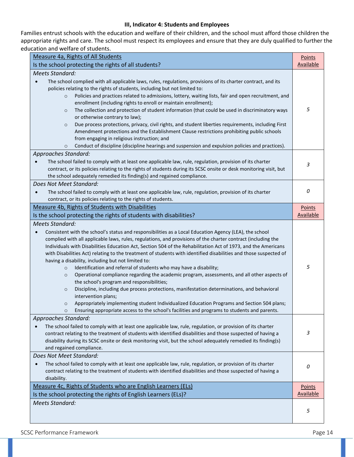#### **III, Indicator 4: Students and Employees**

Families entrust schools with the education and welfare of their children, and the school must afford those children the appropriate rights and care. The school must respect its employees and ensure that they are duly qualified to further the education and welfare of students.

| Measure 4a, Rights of All Students                                                                                                                                                                                                                                                                                                                                                                                                                                                                                                                                                                                                                                                                                                                                                                                                                                                                                                                                                                                                                                                                                                            |                |  |
|-----------------------------------------------------------------------------------------------------------------------------------------------------------------------------------------------------------------------------------------------------------------------------------------------------------------------------------------------------------------------------------------------------------------------------------------------------------------------------------------------------------------------------------------------------------------------------------------------------------------------------------------------------------------------------------------------------------------------------------------------------------------------------------------------------------------------------------------------------------------------------------------------------------------------------------------------------------------------------------------------------------------------------------------------------------------------------------------------------------------------------------------------|----------------|--|
| Is the school protecting the rights of all students?                                                                                                                                                                                                                                                                                                                                                                                                                                                                                                                                                                                                                                                                                                                                                                                                                                                                                                                                                                                                                                                                                          |                |  |
| <b>Meets Standard:</b><br>The school complied with all applicable laws, rules, regulations, provisions of its charter contract, and its<br>$\bullet$<br>policies relating to the rights of students, including but not limited to:<br>Policies and practices related to admissions, lottery, waiting lists, fair and open recruitment, and<br>$\circ$<br>enrollment (including rights to enroll or maintain enrollment);<br>The collection and protection of student information (that could be used in discriminatory ways<br>$\circ$<br>or otherwise contrary to law);<br>Due process protections, privacy, civil rights, and student liberties requirements, including First<br>$\circ$<br>Amendment protections and the Establishment Clause restrictions prohibiting public schools<br>from engaging in religious instruction; and<br>Conduct of discipline (discipline hearings and suspension and expulsion policies and practices).<br>$\circ$                                                                                                                                                                                        | 5              |  |
| Approaches Standard:<br>The school failed to comply with at least one applicable law, rule, regulation, provision of its charter<br>$\bullet$<br>contract, or its policies relating to the rights of students during its SCSC onsite or desk monitoring visit, but<br>the school adequately remedied its finding(s) and regained compliance.                                                                                                                                                                                                                                                                                                                                                                                                                                                                                                                                                                                                                                                                                                                                                                                                  | $\mathfrak{Z}$ |  |
| Does Not Meet Standard:<br>The school failed to comply with at least one applicable law, rule, regulation, provision of its charter<br>$\bullet$<br>contract, or its policies relating to the rights of students.                                                                                                                                                                                                                                                                                                                                                                                                                                                                                                                                                                                                                                                                                                                                                                                                                                                                                                                             | 0              |  |
| Measure 4b, Rights of Students with Disabilities<br>Is the school protecting the rights of students with disabilities?                                                                                                                                                                                                                                                                                                                                                                                                                                                                                                                                                                                                                                                                                                                                                                                                                                                                                                                                                                                                                        |                |  |
| <b>Meets Standard:</b><br>Consistent with the school's status and responsibilities as a Local Education Agency (LEA), the school<br>$\bullet$<br>complied with all applicable laws, rules, regulations, and provisions of the charter contract (including the<br>Individuals with Disabilities Education Act, Section 504 of the Rehabilitation Act of 1973, and the Americans<br>with Disabilities Act) relating to the treatment of students with identified disabilities and those suspected of<br>having a disability, including but not limited to:<br>Identification and referral of students who may have a disability;<br>$\circ$<br>Operational compliance regarding the academic program, assessments, and all other aspects of<br>$\circ$<br>the school's program and responsibilities;<br>Discipline, including due process protections, manifestation determinations, and behavioral<br>$\circ$<br>intervention plans;<br>Appropriately implementing student Individualized Education Programs and Section 504 plans;<br>$\circ$<br>Ensuring appropriate access to the school's facilities and programs to students and parents. | 5              |  |
| Approaches Standard:<br>The school failed to comply with at least one applicable law, rule, regulation, or provision of its charter<br>$\bullet$<br>contract relating to the treatment of students with identified disabilities and those suspected of having a<br>disability during its SCSC onsite or desk monitoring visit, but the school adequately remedied its finding(s)<br>and regained compliance.                                                                                                                                                                                                                                                                                                                                                                                                                                                                                                                                                                                                                                                                                                                                  | 3              |  |
| Does Not Meet Standard:<br>The school failed to comply with at least one applicable law, rule, regulation, or provision of its charter<br>$\bullet$<br>contract relating to the treatment of students with identified disabilities and those suspected of having a<br>disability.                                                                                                                                                                                                                                                                                                                                                                                                                                                                                                                                                                                                                                                                                                                                                                                                                                                             | 0              |  |
| Measure 4c, Rights of Students who are English Learners (ELs)                                                                                                                                                                                                                                                                                                                                                                                                                                                                                                                                                                                                                                                                                                                                                                                                                                                                                                                                                                                                                                                                                 |                |  |
| Is the school protecting the rights of English Learners (ELs)?                                                                                                                                                                                                                                                                                                                                                                                                                                                                                                                                                                                                                                                                                                                                                                                                                                                                                                                                                                                                                                                                                |                |  |
| <b>Meets Standard:</b>                                                                                                                                                                                                                                                                                                                                                                                                                                                                                                                                                                                                                                                                                                                                                                                                                                                                                                                                                                                                                                                                                                                        | 5              |  |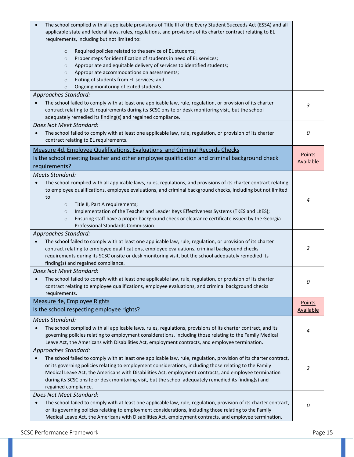| The school complied with all applicable provisions of Title III of the Every Student Succeeds Act (ESSA) and all<br>applicable state and federal laws, rules, regulations, and provisions of its charter contract relating to EL<br>requirements, including but not limited to:<br>Required policies related to the service of EL students;<br>$\circ$<br>Proper steps for identification of students in need of EL services;<br>$\circ$<br>Appropriate and equitable delivery of services to identified students;<br>$\circ$<br>Appropriate accommodations on assessments;<br>$\circ$ |                  |
|----------------------------------------------------------------------------------------------------------------------------------------------------------------------------------------------------------------------------------------------------------------------------------------------------------------------------------------------------------------------------------------------------------------------------------------------------------------------------------------------------------------------------------------------------------------------------------------|------------------|
| Exiting of students from EL services; and<br>$\circ$<br>Ongoing monitoring of exited students.<br>$\circ$                                                                                                                                                                                                                                                                                                                                                                                                                                                                              |                  |
| Approaches Standard:<br>The school failed to comply with at least one applicable law, rule, regulation, or provision of its charter<br>contract relating to EL requirements during its SCSC onsite or desk monitoring visit, but the school<br>adequately remedied its finding(s) and regained compliance.                                                                                                                                                                                                                                                                             | 3                |
| Does Not Meet Standard:<br>The school failed to comply with at least one applicable law, rule, regulation, or provision of its charter<br>contract relating to EL requirements.                                                                                                                                                                                                                                                                                                                                                                                                        | 0                |
| Measure 4d, Employee Qualifications, Evaluations, and Criminal Records Checks                                                                                                                                                                                                                                                                                                                                                                                                                                                                                                          | Points           |
| Is the school meeting teacher and other employee qualification and criminal background check                                                                                                                                                                                                                                                                                                                                                                                                                                                                                           | <b>Available</b> |
| requirements?                                                                                                                                                                                                                                                                                                                                                                                                                                                                                                                                                                          |                  |
| <b>Meets Standard:</b><br>The school complied with all applicable laws, rules, regulations, and provisions of its charter contract relating<br>$\bullet$<br>to employee qualifications, employee evaluations, and criminal background checks, including but not limited<br>to:<br>Title II, Part A requirements;<br>$\circ$<br>Implementation of the Teacher and Leader Keys Effectiveness Systems (TKES and LKES);<br>$\circ$<br>Ensuring staff have a proper background check or clearance certificate issued by the Georgia<br>$\circ$<br>Professional Standards Commission.        | 4                |
| Approaches Standard:<br>The school failed to comply with at least one applicable law, rule, regulation, or provision of its charter<br>contract relating to employee qualifications, employee evaluations, criminal background checks<br>requirements during its SCSC onsite or desk monitoring visit, but the school adequately remedied its<br>finding(s) and regained compliance.                                                                                                                                                                                                   | 2                |
| Does Not Meet Standard:<br>The school failed to comply with at least one applicable law, rule, regulation, or provision of its charter<br>contract relating to employee qualifications, employee evaluations, and criminal background checks<br>requirements.                                                                                                                                                                                                                                                                                                                          | 0                |
| Measure 4e, Employee Rights                                                                                                                                                                                                                                                                                                                                                                                                                                                                                                                                                            | Points           |
| Is the school respecting employee rights?                                                                                                                                                                                                                                                                                                                                                                                                                                                                                                                                              | <b>Available</b> |
| <b>Meets Standard:</b><br>The school complied with all applicable laws, rules, regulations, provisions of its charter contract, and its<br>governing policies relating to employment considerations, including those relating to the Family Medical<br>Leave Act, the Americans with Disabilities Act, employment contracts, and employee termination.                                                                                                                                                                                                                                 | 4                |
| Approaches Standard:<br>The school failed to comply with at least one applicable law, rule, regulation, provision of its charter contract,<br>or its governing policies relating to employment considerations, including those relating to the Family<br>Medical Leave Act, the Americans with Disabilities Act, employment contracts, and employee termination<br>during its SCSC onsite or desk monitoring visit, but the school adequately remedied its finding(s) and<br>regained compliance.                                                                                      | 2                |
| Does Not Meet Standard:<br>The school failed to comply with at least one applicable law, rule, regulation, provision of its charter contract,<br>or its governing policies relating to employment considerations, including those relating to the Family<br>Medical Leave Act, the Americans with Disabilities Act, employment contracts, and employee termination.                                                                                                                                                                                                                    | 0                |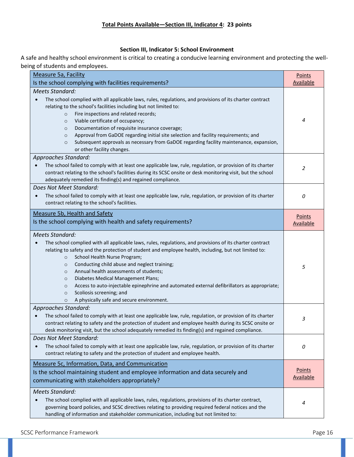#### **Section III, Indicator 5: School Environment**

A safe and healthy school environment is critical to creating a conducive learning environment and protecting the wellbeing of students and employees.

| <b>Measure 5a, Facility</b>                                                                                                                                                                                                                                                                                                                                                                                                                                                                                                                                                                                                                                                  | Points<br><b>Available</b> |  |
|------------------------------------------------------------------------------------------------------------------------------------------------------------------------------------------------------------------------------------------------------------------------------------------------------------------------------------------------------------------------------------------------------------------------------------------------------------------------------------------------------------------------------------------------------------------------------------------------------------------------------------------------------------------------------|----------------------------|--|
| Is the school complying with facilities requirements?                                                                                                                                                                                                                                                                                                                                                                                                                                                                                                                                                                                                                        |                            |  |
| <b>Meets Standard:</b><br>The school complied with all applicable laws, rules, regulations, and provisions of its charter contract<br>$\bullet$<br>relating to the school's facilities including but not limited to:<br>Fire inspections and related records;<br>$\circ$<br>Viable certificate of occupancy;<br>$\circ$<br>Documentation of requisite insurance coverage;<br>$\circ$<br>Approval from GaDOE regarding initial site selection and facility requirements; and<br>$\circ$<br>Subsequent approvals as necessary from GaDOE regarding facility maintenance, expansion,<br>$\circ$<br>or other facility changes.                                                   | 4                          |  |
| Approaches Standard:<br>The school failed to comply with at least one applicable law, rule, regulation, or provision of its charter<br>contract relating to the school's facilities during its SCSC onsite or desk monitoring visit, but the school<br>adequately remedied its finding(s) and regained compliance.                                                                                                                                                                                                                                                                                                                                                           | 2                          |  |
| Does Not Meet Standard:<br>The school failed to comply with at least one applicable law, rule, regulation, or provision of its charter<br>$\bullet$<br>contract relating to the school's facilities.                                                                                                                                                                                                                                                                                                                                                                                                                                                                         | 0                          |  |
| Measure 5b, Health and Safety<br>Is the school complying with health and safety requirements?                                                                                                                                                                                                                                                                                                                                                                                                                                                                                                                                                                                | Points<br><b>Available</b> |  |
| <b>Meets Standard:</b><br>The school complied with all applicable laws, rules, regulations, and provisions of its charter contract<br>$\bullet$<br>relating to safety and the protection of student and employee health, including, but not limited to:<br>School Health Nurse Program;<br>$\circ$<br>Conducting child abuse and neglect training;<br>$\circ$<br>Annual health assessments of students;<br>$\circ$<br>Diabetes Medical Management Plans;<br>$\circ$<br>Access to auto-injectable epinephrine and automated external defibrillators as appropriate;<br>$\circ$<br>Scoliosis screening; and<br>$\circ$<br>A physically safe and secure environment.<br>$\circ$ | 5                          |  |
| <b>Approaches Standard:</b><br>The school failed to comply with at least one applicable law, rule, regulation, or provision of its charter<br>contract relating to safety and the protection of student and employee health during its SCSC onsite or<br>desk monitoring visit, but the school adequately remedied its finding(s) and regained compliance.                                                                                                                                                                                                                                                                                                                   | 3                          |  |
| Does Not Meet Standard:<br>The school failed to comply with at least one applicable law, rule, regulation, or provision of its charter<br>contract relating to safety and the protection of student and employee health.                                                                                                                                                                                                                                                                                                                                                                                                                                                     | 0                          |  |
| Measure 5c, Information, Data, and Communication<br>Is the school maintaining student and employee information and data securely and<br>communicating with stakeholders appropriately?                                                                                                                                                                                                                                                                                                                                                                                                                                                                                       | Points<br><b>Available</b> |  |
| <b>Meets Standard:</b><br>The school complied with all applicable laws, rules, regulations, provisions of its charter contract,<br>$\bullet$<br>governing board policies, and SCSC directives relating to providing required federal notices and the<br>handling of information and stakeholder communication, including but not limited to:                                                                                                                                                                                                                                                                                                                                 | 4                          |  |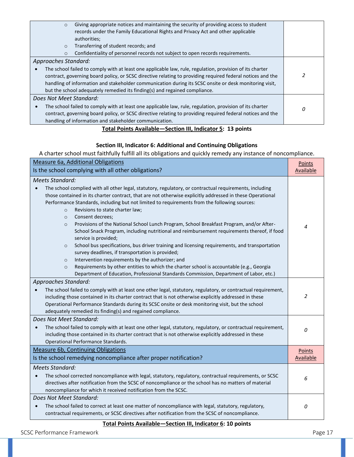| Giving appropriate notices and maintaining the security of providing access to student<br>$\circ$               |  |  |
|-----------------------------------------------------------------------------------------------------------------|--|--|
| records under the Family Educational Rights and Privacy Act and other applicable                                |  |  |
| authorities;                                                                                                    |  |  |
| Transferring of student records; and<br>$\circ$                                                                 |  |  |
| Confidentiality of personnel records not subject to open records requirements.<br>$\circ$                       |  |  |
| Approaches Standard:                                                                                            |  |  |
| The school failed to comply with at least one applicable law, rule, regulation, provision of its charter        |  |  |
| contract, governing board policy, or SCSC directive relating to providing required federal notices and the      |  |  |
| handling of information and stakeholder communication during its SCSC onsite or desk monitoring visit,          |  |  |
| but the school adequately remedied its finding(s) and regained compliance.                                      |  |  |
| Does Not Meet Standard:                                                                                         |  |  |
| The school failed to comply with at least one applicable law, rule, regulation, provision of its charter        |  |  |
| 0<br>contract, governing board policy, or SCSC directive relating to providing required federal notices and the |  |  |
| handling of information and stakeholder communication.                                                          |  |  |
| Total Doints Available—Section III Indicator E: 12 noints                                                       |  |  |

## **Total Points Available—Section III, Indicator 5: 13 points**

## **Section III, Indicator 6: Additional and Continuing Obligations**

A charter school must faithfully fulfill all its obligations and quickly remedy any instance of noncompliance.

| <b>Measure 6a, Additional Obligations</b><br>Is the school complying with all other obligations?                                                                                                                                                                                                                                                                                                                                                                                         |   |  |
|------------------------------------------------------------------------------------------------------------------------------------------------------------------------------------------------------------------------------------------------------------------------------------------------------------------------------------------------------------------------------------------------------------------------------------------------------------------------------------------|---|--|
| Available<br><b>Meets Standard:</b>                                                                                                                                                                                                                                                                                                                                                                                                                                                      |   |  |
| The school complied with all other legal, statutory, regulatory, or contractual requirements, including<br>those contained in its charter contract, that are not otherwise explicitly addressed in these Operational<br>Performance Standards, including but not limited to requirements from the following sources:<br>Revisions to state charter law;<br>$\circ$                                                                                                                       |   |  |
| Consent decrees;<br>$\circ$<br>Provisions of the National School Lunch Program, School Breakfast Program, and/or After-<br>$\circ$<br>School Snack Program, including nutritional and reimbursement requirements thereof, if food<br>service is provided;<br>School bus specifications, bus driver training and licensing requirements, and transportation<br>$\circ$<br>survey deadlines, if transportation is provided;<br>Intervention requirements by the authorizer; and<br>$\circ$ | 4 |  |
| Requirements by other entities to which the charter school is accountable (e.g., Georgia<br>$\circ$<br>Department of Education, Professional Standards Commission, Department of Labor, etc.)                                                                                                                                                                                                                                                                                            |   |  |
| Approaches Standard:                                                                                                                                                                                                                                                                                                                                                                                                                                                                     |   |  |
| The school failed to comply with at least one other legal, statutory, regulatory, or contractual requirement,<br>$\bullet$<br>including those contained in its charter contract that is not otherwise explicitly addressed in these<br>Operational Performance Standards during its SCSC onsite or desk monitoring visit, but the school<br>adequately remedied its finding(s) and regained compliance.                                                                                  | 2 |  |
| Does Not Meet Standard:                                                                                                                                                                                                                                                                                                                                                                                                                                                                  |   |  |
| The school failed to comply with at least one other legal, statutory, regulatory, or contractual requirement,<br>including those contained in its charter contract that is not otherwise explicitly addressed in these<br>Operational Performance Standards.                                                                                                                                                                                                                             |   |  |
| <b>Measure 6b, Continuing Obligations</b>                                                                                                                                                                                                                                                                                                                                                                                                                                                |   |  |
| Is the school remedying noncompliance after proper notification?                                                                                                                                                                                                                                                                                                                                                                                                                         |   |  |
| <b>Meets Standard:</b><br>The school corrected noncompliance with legal, statutory, regulatory, contractual requirements, or SCSC<br>directives after notification from the SCSC of noncompliance or the school has no matters of material<br>noncompliance for which it received notification from the SCSC.                                                                                                                                                                            | 6 |  |
| Does Not Meet Standard:                                                                                                                                                                                                                                                                                                                                                                                                                                                                  |   |  |
| The school failed to correct at least one matter of noncompliance with legal, statutory, regulatory,<br>contractual requirements, or SCSC directives after notification from the SCSC of noncompliance.                                                                                                                                                                                                                                                                                  |   |  |

## **Total Points Available—Section III, Indicator 6: 10 points**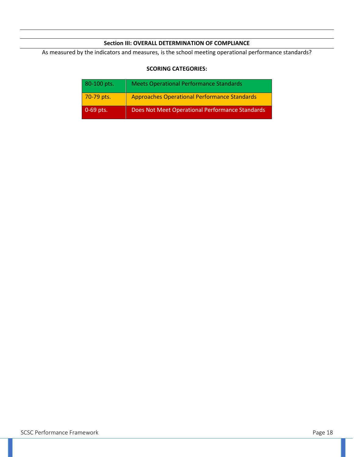## **Section III: OVERALL DETERMINATION OF COMPLIANCE**

As measured by the indicators and measures, is the school meeting operational performance standards?

## **SCORING CATEGORIES:**

| 80-100 pts. | <b>Meets Operational Performance Standards</b>      |
|-------------|-----------------------------------------------------|
| 70-79 pts.  | <b>Approaches Operational Performance Standards</b> |
| $0-69$ pts. | Does Not Meet Operational Performance Standards     |